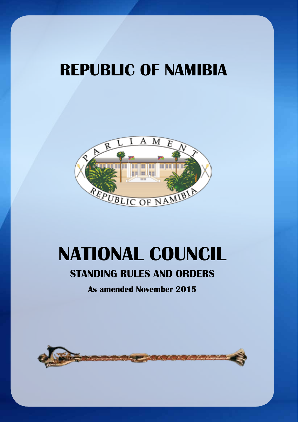# **REPUBLIC OF NAMIBIA**



# **NATIONAL COUNCIL**

# **STANDING RULES AND ORDERS**

**As amended November 2015**

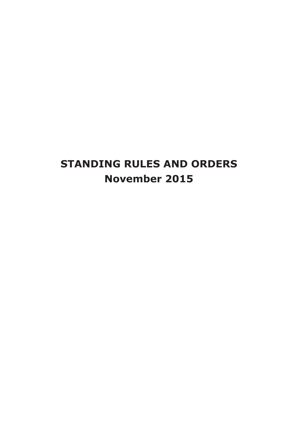# **STANDING RULES AND ORDERS November 2015**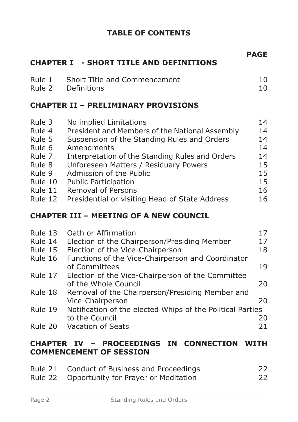# **TABLE OF CONTENTS**

|                                                                                                     | <b>CHAPTER I - SHORT TITLE AND DEFINITIONS</b>                                                                                                                                                                                                                                                                                                                      | <b>PAGE</b>                                              |
|-----------------------------------------------------------------------------------------------------|---------------------------------------------------------------------------------------------------------------------------------------------------------------------------------------------------------------------------------------------------------------------------------------------------------------------------------------------------------------------|----------------------------------------------------------|
| Rule 1<br>Rule 2                                                                                    | Short Title and Commencement<br>Definitions                                                                                                                                                                                                                                                                                                                         | 10<br>10                                                 |
|                                                                                                     | <b>CHAPTER II - PRELIMINARY PROVISIONS</b>                                                                                                                                                                                                                                                                                                                          |                                                          |
| Rule 3<br>Rule 4<br>Rule 5<br>Rule 6<br>Rule 7<br>Rule 8<br>Rule 9<br>Rule 10<br>Rule 11<br>Rule 12 | No implied Limitations<br>President and Members of the National Assembly<br>Suspension of the Standing Rules and Orders<br>Amendments<br>Interpretation of the Standing Rules and Orders<br>Unforeseen Matters / Residuary Powers<br>Admission of the Public<br><b>Public Participation</b><br>Removal of Persons<br>Presidential or visiting Head of State Address | 14<br>14<br>14<br>14<br>14<br>15<br>15<br>15<br>16<br>16 |
|                                                                                                     | <b>CHAPTER III - MEETING OF A NEW COUNCIL</b>                                                                                                                                                                                                                                                                                                                       |                                                          |
| Rule 13<br>Rule 14<br>Rule 15<br>Rule 16                                                            | Oath or Affirmation<br>Election of the Chairperson/Presiding Member<br>Election of the Vice-Chairperson<br>Functions of the Vice-Chairperson and Coordinator<br>of Committees                                                                                                                                                                                       | 17<br>17<br>18<br>19                                     |
| Rule 17                                                                                             | Election of the Vice-Chairperson of the Committee<br>of the Whole Council                                                                                                                                                                                                                                                                                           | 20                                                       |
| Rule 18                                                                                             | Removal of the Chairperson/Presiding Member and<br>Vice-Chairperson                                                                                                                                                                                                                                                                                                 | 20                                                       |
| Rule 19                                                                                             | Notification of the elected Whips of the Political Parties<br>to the Council                                                                                                                                                                                                                                                                                        | חר                                                       |

to the Council 20 Rule 20 Vacation of Seats

#### **CHAPTER IV – PROCEEDINGS IN CONNECTION WITH COMMENCEMENT OF SESSION**

| Rule 21 Conduct of Business and Proceedings  | 22 |
|----------------------------------------------|----|
| Rule 22 Opportunity for Prayer or Meditation | 22 |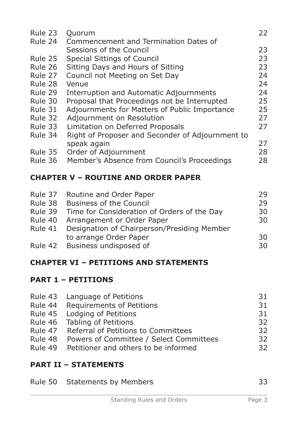| Rule 23 | Quorum                                           | 22 |
|---------|--------------------------------------------------|----|
| Rule 24 | Commencement and Termination Dates of            |    |
|         | Sessions of the Council                          | 23 |
| Rule 25 | <b>Special Sittings of Council</b>               | 23 |
| Rule 26 | Sitting Days and Hours of Sitting                | 23 |
| Rule 27 | Council not Meeting on Set Day                   | 24 |
| Rule 28 | Venue                                            | 24 |
| Rule 29 | Interruption and Automatic Adjournments          | 24 |
| Rule 30 | Proposal that Proceedings not be Interrupted     | 25 |
| Rule 31 | Adjournments for Matters of Public Importance    | 25 |
| Rule 32 | Adjournment on Resolution                        | 27 |
| Rule 33 | Limitation on Deferred Proposals                 | 27 |
| Rule 34 | Right of Proposer and Seconder of Adjournment to |    |
|         | speak again                                      | 27 |
| Rule 35 | Order of Adjournment                             | 28 |
| Rule 36 | Member's Absence from Council's Proceedings      | 28 |

# **CHAPTER V – ROUTINE AND ORDER PAPER**

| 29 |
|----|
| 30 |
| 30 |
|    |
| 30 |
| 30 |
|    |

# **CHAPTER VI – PETITIONS AND STATEMENTS**

# **PART 1 – PETITIONS**

|         | Rule 43 Language of Petitions               | 31 |
|---------|---------------------------------------------|----|
|         | Rule 44 Requirements of Petitions           | 31 |
|         | Rule 45 Lodging of Petitions                | 31 |
|         | Rule 46 Tabling of Petitions                | 32 |
|         | Rule 47 Referral of Petitions to Committees | 32 |
| Rule 48 | Powers of Committee / Select Committees     | 32 |
| Rule 49 | Petitioner and others to be informed        | 32 |

# **PART II – STATEMENTS**

|  | Rule 50 Statements by Members |  |
|--|-------------------------------|--|
|--|-------------------------------|--|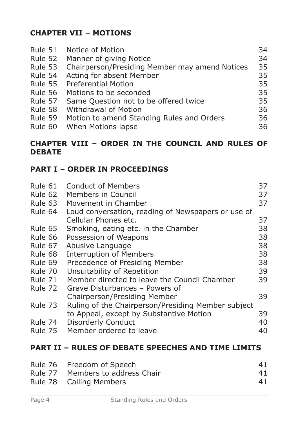# **CHAPTER VII – MOTIONS**

| Rule 51 | Notice of Motion                               | 34 |
|---------|------------------------------------------------|----|
| Rule 52 | Manner of giving Notice                        | 34 |
| Rule 53 | Chairperson/Presiding Member may amend Notices | 35 |
| Rule 54 | Acting for absent Member                       | 35 |
| Rule 55 | <b>Preferential Motion</b>                     | 35 |
| Rule 56 | Motions to be seconded                         | 35 |
| Rule 57 | Same Question not to be offered twice          | 35 |
| Rule 58 | <b>Withdrawal of Motion</b>                    | 36 |
| Rule 59 | Motion to amend Standing Rules and Orders      | 36 |
| Rule 60 | When Motions lapse                             | 36 |

#### **CHAPTER VIII – ORDER IN THE COUNCIL AND RULES OF DEBATE**

# **PART I – ORDER IN PROCEEDINGS**

| Rule 61 | Conduct of Members                                        | 37 |
|---------|-----------------------------------------------------------|----|
| Rule 62 | Members in Council                                        | 37 |
| Rule 63 | Movement in Chamber                                       | 37 |
| Rule 64 | Loud conversation, reading of Newspapers or use of        |    |
|         | Cellular Phones etc.                                      | 37 |
| Rule 65 | Smoking, eating etc. in the Chamber                       | 38 |
| Rule 66 | Possession of Weapons                                     | 38 |
| Rule 67 | Abusive Language                                          | 38 |
| Rule 68 | <b>Interruption of Members</b>                            | 38 |
| Rule 69 | Precedence of Presiding Member                            | 38 |
| Rule 70 | Unsuitability of Repetition                               | 39 |
| Rule 71 | Member directed to leave the Council Chamber              | 39 |
| Rule 72 | Grave Disturbances - Powers of                            |    |
|         | Chairperson/Presiding Member                              | 39 |
| Rule 73 | Ruling of the Chairperson/Presiding Member subject        |    |
|         | to Appeal, except by Substantive Motion                   | 39 |
| Rule 74 | Disorderly Conduct                                        | 40 |
| Rule 75 | Member ordered to leave                                   | 40 |
|         |                                                           |    |
|         | <b>PART II - RULES OF DEBATE SPEECHES AND TIME LIMITS</b> |    |

| Rule 76 Freedom of Speech        | 41 |
|----------------------------------|----|
| Rule 77 Members to address Chair | 41 |
| Rule 78 Calling Members          | 41 |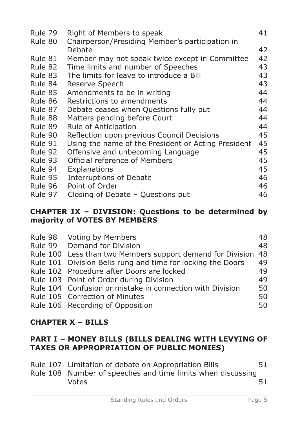| Rule 79 | Right of Members to speak                           | 41 |
|---------|-----------------------------------------------------|----|
| Rule 80 | Chairperson/Presiding Member's participation in     |    |
|         | Debate                                              | 42 |
| Rule 81 | Member may not speak twice except in Committee      | 42 |
| Rule 82 | Time limits and number of Speeches                  | 43 |
| Rule 83 | The limits for leave to introduce a Bill            | 43 |
| Rule 84 | Reserve Speech                                      | 43 |
| Rule 85 | Amendments to be in writing                         | 44 |
| Rule 86 | Restrictions to amendments                          | 44 |
| Rule 87 | Debate ceases when Questions fully put              | 44 |
| Rule 88 | Matters pending before Court                        | 44 |
| Rule 89 | Rule of Anticipation                                | 44 |
| Rule 90 | Reflection upon previous Council Decisions          | 45 |
| Rule 91 | Using the name of the President or Acting President | 45 |
| Rule 92 | Offensive and unbecoming Language                   | 45 |
| Rule 93 | Official reference of Members                       | 45 |
| Rule 94 | Explanations                                        | 45 |
| Rule 95 | <b>Interruptions of Debate</b>                      | 46 |
| Rule 96 | Point of Order                                      | 46 |
| Rule 97 | Closing of Debate - Questions put                   | 46 |

#### **CHAPTER IX – DIVISION: Questions to be determined by majority of VOTES BY MEMBERS**

| Rule 98 Voting by Members                                   | 48 |
|-------------------------------------------------------------|----|
| Rule 99 Demand for Division                                 | 48 |
| Rule 100 Less than two Members support demand for Division  | 48 |
| Rule 101 Division Bells rung and time for locking the Doors | 49 |
| Rule 102 Procedure after Doors are locked                   | 49 |
| Rule 103 Point of Order during Division                     | 49 |
| Rule 104 Confusion or mistake in connection with Division   | 50 |
| Rule 105 Correction of Minutes                              | 50 |
| Rule 106 Recording of Opposition                            | 50 |

# **CHAPTER X – BILLS**

# **PART I – MONEY BILLS (BILLS DEALING WITH LEVYING OF TAXES OR APPROPRIATION OF PUBLIC MONIES)**

| Rule 107 Limitation of debate on Appropriation Bills        | 51 |
|-------------------------------------------------------------|----|
| Rule 108 Number of speeches and time limits when discussing |    |
| <b>Votes</b>                                                | 51 |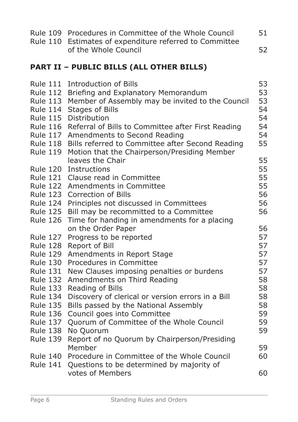|                                    | Rule 109 Procedures in Committee of the Whole Council<br>Rule 110 Estimates of expenditure referred to Committee | 51       |
|------------------------------------|------------------------------------------------------------------------------------------------------------------|----------|
|                                    | of the Whole Council                                                                                             | 52       |
|                                    | <b>PART II - PUBLIC BILLS (ALL OTHER BILLS)</b>                                                                  |          |
| <b>Rule 111</b>                    | <b>Introduction of Bills</b>                                                                                     | 53       |
| <b>Rule 112</b>                    | Briefing and Explanatory Memorandum                                                                              | 53       |
| <b>Rule 113</b>                    | Member of Assembly may be invited to the Council                                                                 | 53       |
| <b>Rule 114</b>                    | Stages of Bills                                                                                                  | 54       |
| <b>Rule 115</b>                    | Distribution                                                                                                     | 54       |
| <b>Rule 116</b>                    | Referral of Bills to Committee after First Reading                                                               | 54       |
| <b>Rule 117</b>                    | Amendments to Second Reading                                                                                     | 54       |
| <b>Rule 118</b>                    | Bills referred to Committee after Second Reading                                                                 | 55       |
| <b>Rule 119</b>                    | Motion that the Chairperson/Presiding Member                                                                     |          |
|                                    | leaves the Chair                                                                                                 | 55       |
| <b>Rule 120</b>                    | Instructions                                                                                                     | 55       |
| <b>Rule 121</b>                    | Clause read in Committee                                                                                         | 55       |
| <b>Rule 122</b>                    | Amendments in Committee                                                                                          | 55       |
| <b>Rule 123</b>                    | Correction of Bills                                                                                              | 56       |
| <b>Rule 124</b>                    | Principles not discussed in Committees                                                                           | 56       |
| <b>Rule 125</b>                    | Bill may be recommitted to a Committee                                                                           | 56       |
| <b>Rule 126</b>                    | Time for handing in amendments for a placing                                                                     |          |
|                                    | on the Order Paper                                                                                               | 56       |
| <b>Rule 127</b>                    | Progress to be reported                                                                                          | 57       |
| <b>Rule 128</b>                    | Report of Bill                                                                                                   | 57       |
| <b>Rule 129</b>                    | Amendments in Report Stage                                                                                       | 57       |
| <b>Rule 130</b>                    | Procedures in Committee                                                                                          | 57       |
| <b>Rule 131</b>                    | New Clauses imposing penalties or burdens                                                                        | 57       |
| <b>Rule 132</b>                    | Amendments on Third Reading                                                                                      | 58       |
| <b>Rule 133</b>                    | Reading of Bills                                                                                                 | 58<br>58 |
| <b>Rule 134</b>                    | Discovery of clerical or version errors in a Bill                                                                | 58       |
| <b>Rule 135</b>                    | Bills passed by the National Assembly                                                                            | 59       |
| <b>Rule 136</b><br><b>Rule 137</b> | Council goes into Committee                                                                                      | 59       |
| <b>Rule 138</b>                    | Quorum of Committee of the Whole Council<br>No Quorum                                                            | 59       |
| <b>Rule 139</b>                    | Report of no Quorum by Chairperson/Presiding                                                                     |          |
|                                    | Member                                                                                                           | 59       |
| <b>Rule 140</b>                    | Procedure in Committee of the Whole Council                                                                      | 60       |
| <b>Rule 141</b>                    | Questions to be determined by majority of                                                                        |          |
|                                    | votes of Members                                                                                                 | 60       |
|                                    |                                                                                                                  |          |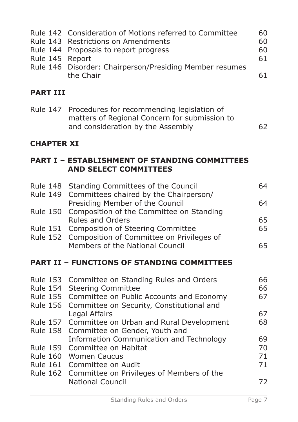|                 | Rule 142 Consideration of Motions referred to Committee<br>Rule 143 Restrictions on Amendments<br>Rule 144 Proposals to report progress   | 60<br>60<br>60 |
|-----------------|-------------------------------------------------------------------------------------------------------------------------------------------|----------------|
| Rule 145 Report |                                                                                                                                           | 61             |
|                 | Rule 146 Disorder: Chairperson/Presiding Member resumes<br>the Chair                                                                      | 61             |
| <b>PART III</b> |                                                                                                                                           |                |
|                 | Rule 147 Procedures for recommending legislation of<br>matters of Regional Concern for submission to<br>and consideration by the Assembly | 62.            |

# **CHAPTER XI**

# **PART I – ESTABLISHMENT OF STANDING COMMITTEES AND SELECT COMMITTEES**

| <b>Rule 148</b> | Standing Committees of the Council                 | 64 |
|-----------------|----------------------------------------------------|----|
| <b>Rule 149</b> | Committees chaired by the Chairperson/             |    |
|                 | Presiding Member of the Council                    | 64 |
| <b>Rule 150</b> | Composition of the Committee on Standing           |    |
|                 | <b>Rules and Orders</b>                            | 65 |
| <b>Rule 151</b> | Composition of Steering Committee                  | 65 |
| <b>Rule 152</b> | Composition of Committee on Privileges of          |    |
|                 | Members of the National Council                    | 65 |
|                 | <b>PART II - FUNCTIONS OF STANDING COMMITTEES</b>  |    |
|                 |                                                    |    |
|                 | Rule 153 Committee on Standing Rules and Orders    | 66 |
| <b>Rule 154</b> | <b>Steering Committee</b>                          | 66 |
|                 | Rule 155 Committee on Public Accounts and Economy  | 67 |
|                 | Rule 156 Committee on Security, Constitutional and |    |
|                 | Legal Affairs                                      | 67 |
|                 | Rule 157 Committee on Urban and Rural Development  | 68 |
| <b>Rule 158</b> | Committee on Gender, Youth and                     |    |
|                 | Information Communication and Technology           | 69 |
|                 | Rule 159 Committee on Habitat                      | 70 |
|                 | Rule 160 Women Caucus                              | 71 |
|                 | Rule 161 Committee on Audit                        | 71 |
| <b>Rule 162</b> | Committee on Privileges of Members of the          |    |

National Council 2002 2003 2004 2006 2012 2013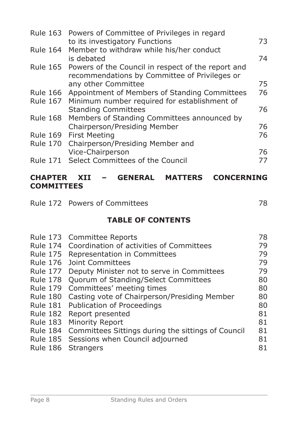|                 | Rule 163 Powers of Committee of Privileges in regard        |    |
|-----------------|-------------------------------------------------------------|----|
|                 | to its investigatory Functions                              | 73 |
|                 | Rule 164 Member to withdraw while his/her conduct           |    |
|                 | is debated                                                  | 74 |
|                 | Rule 165 Powers of the Council in respect of the report and |    |
|                 | recommendations by Committee of Privileges or               |    |
|                 | any other Committee                                         | 75 |
| <b>Rule 166</b> | Appointment of Members of Standing Committees               | 76 |
|                 | Rule 167 Minimum number required for establishment of       |    |
|                 | <b>Standing Committees</b>                                  | 76 |
| <b>Rule 168</b> | Members of Standing Committees announced by                 |    |
|                 | Chairperson/Presiding Member                                | 76 |
| <b>Rule 169</b> | <b>First Meeting</b>                                        | 76 |
|                 | Rule 170 Chairperson/Presiding Member and                   |    |
|                 | Vice-Chairperson                                            | 76 |
|                 | Rule 171 Select Committees of the Council                   | 77 |
|                 |                                                             |    |

# **CHAPTER XII – GENERAL MATTERS CONCERNING COMMITTEES**

|                 | Rule 172 Powers of Committees                      | 78 |
|-----------------|----------------------------------------------------|----|
|                 | <b>TABLE OF CONTENTS</b>                           |    |
|                 | Rule 173 Committee Reports                         | 78 |
|                 | Rule 174 Coordination of activities of Committees  | 79 |
| Rule 175        | Representation in Committees                       | 79 |
| <b>Rule 176</b> | Joint Committees                                   | 79 |
| Rule 177        | Deputy Minister not to serve in Committees         | 79 |
| Rule 178        | Quorum of Standing/Select Committees               | 80 |
| <b>Rule 179</b> | Committees' meeting times                          | 80 |
| <b>Rule 180</b> | Casting vote of Chairperson/Presiding Member       | 80 |
| Rule 181        | Publication of Proceedings                         | 80 |
| Rule 182        | Report presented                                   | 81 |
| Rule 183        | Minority Report                                    | 81 |
| Rule 184        | Committees Sittings during the sittings of Council | 81 |
|                 |                                                    |    |

Rule 185 Sessions when Council adjourned 81<br>Rule 186 Strangers 81

|  | Rule 186 Strangers |  |
|--|--------------------|--|
|--|--------------------|--|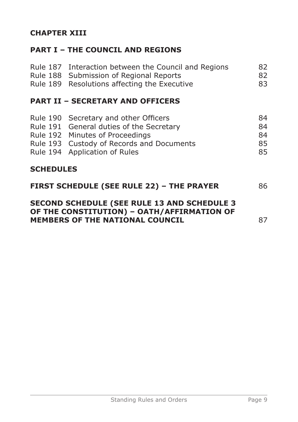# **CHAPTER XIII**

# **PART I – THE COUNCIL AND REGIONS**

|                  | Rule 187 Interaction between the Council and Regions<br>Rule 188 Submission of Regional Reports<br>Rule 189 Resolutions affecting the Executive                                                    | 82<br>82<br>83             |
|------------------|----------------------------------------------------------------------------------------------------------------------------------------------------------------------------------------------------|----------------------------|
|                  | <b>PART II - SECRETARY AND OFFICERS</b>                                                                                                                                                            |                            |
|                  | Rule 190 Secretary and other Officers<br>Rule 191 General duties of the Secretary<br>Rule 192 Minutes of Proceedings<br>Rule 193 Custody of Records and Documents<br>Rule 194 Application of Rules | 84<br>84<br>84<br>85<br>85 |
| <b>SCHEDULES</b> |                                                                                                                                                                                                    |                            |

| <b>FIRST SCHEDULE (SEE RULE 22) - THE PRAYER</b>                                                  | 86 |
|---------------------------------------------------------------------------------------------------|----|
| <b>SECOND SCHEDULE (SEE RULE 13 AND SCHEDULE 3)</b><br>OF THE CONSTITUTION) - OATH/AFFIRMATION OF |    |

**MEMBERS OF THE NATIONAL COUNCIL** 87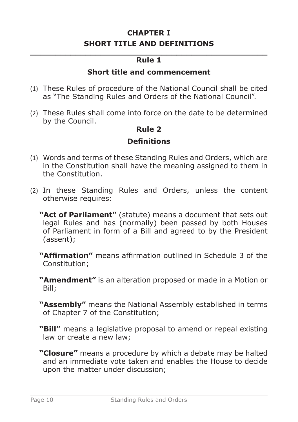# **CHAPTER I SHORT TITLE AND DEFINITIONS**

#### **\_\_\_\_\_\_\_\_\_\_\_\_\_\_\_\_\_\_\_\_\_\_\_\_\_\_\_\_\_\_\_\_\_\_\_\_\_\_\_\_\_\_\_\_\_\_\_ Rule 1**

#### **Short title and commencement**

- (1) These Rules of procedure of the National Council shall be cited as "The Standing Rules and Orders of the National Council".
- (2) These Rules shall come into force on the date to be determined by the Council.

#### **Rule 2**

#### **Definitions**

- (1) Words and terms of these Standing Rules and Orders, which are in the Constitution shall have the meaning assigned to them in the Constitution.
- (2) In these Standing Rules and Orders, unless the content otherwise requires:
	- **"Act of Parliament"** (statute) means a document that sets out legal Rules and has (normally) been passed by both Houses of Parliament in form of a Bill and agreed to by the President (assent);
	- **"Affirmation"** means affirmation outlined in Schedule 3 of the Constitution;
	- **"Amendment"** is an alteration proposed or made in a Motion or Bill;
	- **"Assembly"** means the National Assembly established in terms of Chapter 7 of the Constitution;
	- **"Bill"** means a legislative proposal to amend or repeal existing law or create a new law;
	- **"Closure"** means a procedure by which a debate may be halted and an immediate vote taken and enables the House to decide upon the matter under discussion;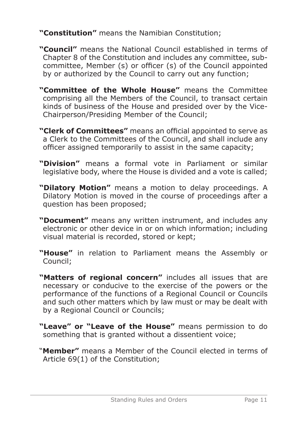**"Constitution"** means the Namibian Constitution;

- **"Council"** means the National Council established in terms of Chapter 8 of the Constitution and includes any committee, subcommittee, Member (s) or officer (s) of the Council appointed by or authorized by the Council to carry out any function;
- **"Committee of the Whole House"** means the Committee comprising all the Members of the Council, to transact certain kinds of business of the House and presided over by the Vice-Chairperson/Presiding Member of the Council;
- **"Clerk of Committees"** means an official appointed to serve as a Clerk to the Committees of the Council, and shall include any officer assigned temporarily to assist in the same capacity;
- **"Division"** means a formal vote in Parliament or similar legislative body, where the House is divided and a vote is called;
- **"Dilatory Motion"** means a motion to delay proceedings. A Dilatory Motion is moved in the course of proceedings after a question has been proposed;
- **"Document"** means any written instrument, and includes any electronic or other device in or on which information; including visual material is recorded, stored or kept;
- **"House"** in relation to Parliament means the Assembly or Council;
- **"Matters of regional concern"** includes all issues that are necessary or conducive to the exercise of the powers or the performance of the functions of a Regional Council or Councils and such other matters which by law must or may be dealt with by a Regional Council or Councils;
- **"Leave" or "Leave of the House"** means permission to do something that is granted without a dissentient voice;
- "**Member"** means a Member of the Council elected in terms of Article 69(1) of the Constitution;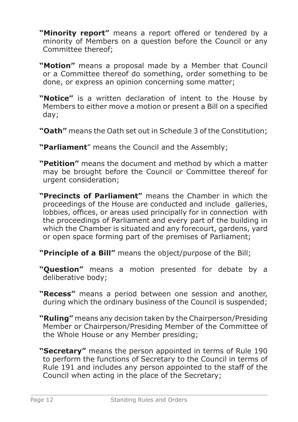- **"Minority report"** means a report offered or tendered by a minority of Members on a question before the Council or any Committee thereof;
- **"Motion"** means a proposal made by a Member that Council or a Committee thereof do something, order something to be done, or express an opinion concerning some matter;
- **"Notice"** is a written declaration of intent to the House by Members to either move a motion or present a Bill on a specified day;
- **"Oath"** means the Oath set out in Schedule 3 of the Constitution;
- **"Parliament**" means the Council and the Assembly;
- **"Petition"** means the document and method by which a matter may be brought before the Council or Committee thereof for urgent consideration;
- **"Precincts of Parliament"** means the Chamber in which the proceedings of the House are conducted and include galleries, lobbies, offices, or areas used principally for in connection with the proceedings of Parliament and every part of the building in which the Chamber is situated and any forecourt, gardens, yard or open space forming part of the premises of Parliament;
- **"Principle of a Bill"** means the object/purpose of the Bill;
- **"Question"** means a motion presented for debate by a deliberative body;
- **"Recess"** means a period between one session and another, during which the ordinary business of the Council is suspended;
- **"Ruling"** means any decision taken by the Chairperson/Presiding Member or Chairperson/Presiding Member of the Committee of the Whole House or any Member presiding;
- **"Secretary"** means the person appointed in terms of Rule 190 to perform the functions of Secretary to the Council in terms of Rule 191 and includes any person appointed to the staff of the Council when acting in the place of the Secretary;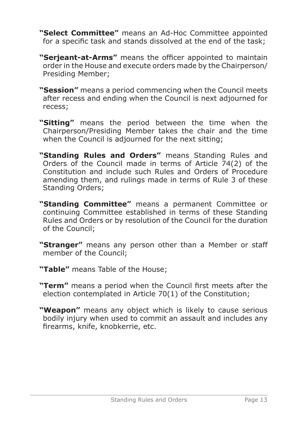- **"Select Committee"** means an Ad-Hoc Committee appointed for a specific task and stands dissolved at the end of the task;
- **"Serjeant-at-Arms"** means the officer appointed to maintain order in the House and execute orders made by the Chairperson/ Presiding Member;
- **"Session"** means a period commencing when the Council meets after recess and ending when the Council is next adjourned for recess;
- **"Sitting"** means the period between the time when the Chairperson/Presiding Member takes the chair and the time when the Council is adjourned for the next sitting;
- **"Standing Rules and Orders"** means Standing Rules and Orders of the Council made in terms of Article 74(2) of the Constitution and include such Rules and Orders of Procedure amending them, and rulings made in terms of Rule 3 of these Standing Orders;
- **"Standing Committee"** means a permanent Committee or continuing Committee established in terms of these Standing Rules and Orders or by resolution of the Council for the duration of the Council;
- **"Stranger"** means any person other than a Member or staff member of the Council;
- **"Table"** means Table of the House;
- **"Term"** means a period when the Council first meets after the election contemplated in Article 70(1) of the Constitution;
- **"Weapon"** means any object which is likely to cause serious bodily injury when used to commit an assault and includes any firearms, knife, knobkerrie, etc.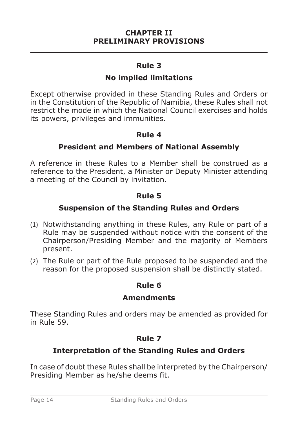#### **CHAPTER II PRELIMINARY PROVISIONS \_\_\_\_\_\_\_\_\_\_\_\_\_\_\_\_\_\_\_\_\_\_\_\_\_\_\_\_\_\_\_\_\_\_\_\_\_\_\_\_\_\_\_\_\_\_\_**

#### **Rule 3**

#### **No implied limitations**

Except otherwise provided in these Standing Rules and Orders or in the Constitution of the Republic of Namibia, these Rules shall not restrict the mode in which the National Council exercises and holds its powers, privileges and immunities.

#### **Rule 4**

#### **President and Members of National Assembly**

A reference in these Rules to a Member shall be construed as a reference to the President, a Minister or Deputy Minister attending a meeting of the Council by invitation.

#### **Rule 5**

#### **Suspension of the Standing Rules and Orders**

- (1) Notwithstanding anything in these Rules, any Rule or part of a Rule may be suspended without notice with the consent of the Chairperson/Presiding Member and the majority of Members present.
- (2) The Rule or part of the Rule proposed to be suspended and the reason for the proposed suspension shall be distinctly stated.

# **Rule 6**

#### **Amendments**

These Standing Rules and orders may be amended as provided for in Rule 59.

# **Rule 7**

# **Interpretation of the Standing Rules and Orders**

In case of doubt these Rules shall be interpreted by the Chairperson/ Presiding Member as he/she deems fit.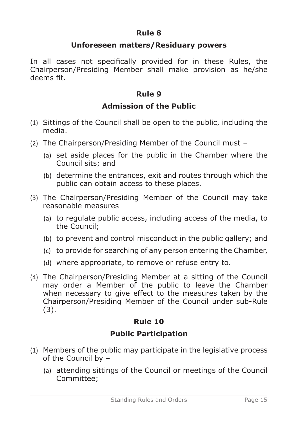#### **Unforeseen matters/Residuary powers**

In all cases not specifically provided for in these Rules, the Chairperson/Presiding Member shall make provision as he/she deems fit.

# **Rule 9**

# **Admission of the Public**

- (1) Sittings of the Council shall be open to the public, including the media.
- (2) The Chairperson/Presiding Member of the Council must
	- (a) set aside places for the public in the Chamber where the Council sits; and
	- (b) determine the entrances, exit and routes through which the public can obtain access to these places.
- (3) The Chairperson/Presiding Member of the Council may take reasonable measures
	- (a) to regulate public access, including access of the media, to the Council;
	- (b) to prevent and control misconduct in the public gallery; and
	- (c) to provide for searching of any person entering the Chamber,
	- (d) where appropriate, to remove or refuse entry to.
- (4) The Chairperson/Presiding Member at a sitting of the Council may order a Member of the public to leave the Chamber when necessary to give effect to the measures taken by the Chairperson/Presiding Member of the Council under sub-Rule (3).

# **Rule 10**

# **Public Participation**

- (1) Members of the public may participate in the legislative process of the Council by –
	- (a) attending sittings of the Council or meetings of the Council Committee;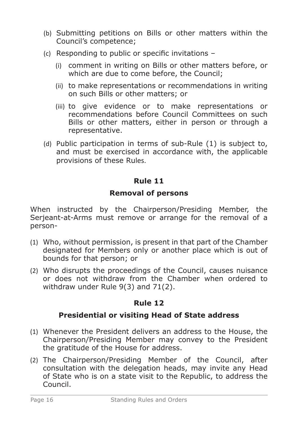- (b) Submitting petitions on Bills or other matters within the Council's competence;
- (c) Responding to public or specific invitations
	- (i) comment in writing on Bills or other matters before, or which are due to come before, the Council;
	- (ii) to make representations or recommendations in writing on such Bills or other matters; or
	- (iii) to give evidence or to make representations or recommendations before Council Committees on such Bills or other matters, either in person or through a representative.
- (d) Public participation in terms of sub-Rule (1) is subject to, and must be exercised in accordance with, the applicable provisions of these Rules.

#### **Removal of persons**

When instructed by the Chairperson/Presiding Member, the Serjeant-at-Arms must remove or arrange for the removal of a person-

- (1) Who, without permission, is present in that part of the Chamber designated for Members only or another place which is out of bounds for that person; or
- (2) Who disrupts the proceedings of the Council, causes nuisance or does not withdraw from the Chamber when ordered to withdraw under Rule 9(3) and 71(2).

#### **Rule 12**

# **Presidential or visiting Head of State address**

- (1) Whenever the President delivers an address to the House, the Chairperson/Presiding Member may convey to the President the gratitude of the House for address.
- (2) The Chairperson/Presiding Member of the Council, after consultation with the delegation heads, may invite any Head of State who is on a state visit to the Republic, to address the Council.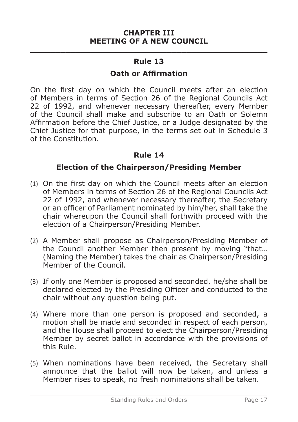# **\_\_\_\_\_\_\_\_\_\_\_\_\_\_\_\_\_\_\_\_\_\_\_\_\_\_\_\_\_\_\_\_\_\_\_\_\_\_\_\_\_\_\_\_\_\_\_ Rule 13**

#### **Oath or Affirmation**

On the first day on which the Council meets after an election of Members in terms of Section 26 of the Regional Councils Act 22 of 1992, and whenever necessary thereafter, every Member of the Council shall make and subscribe to an Oath or Solemn Affirmation before the Chief Justice, or a Judge designated by the Chief Justice for that purpose, in the terms set out in Schedule 3 of the Constitution.

# **Rule 14**

# **Election of the Chairperson/Presiding Member**

- (1) On the first day on which the Council meets after an election of Members in terms of Section 26 of the Regional Councils Act 22 of 1992, and whenever necessary thereafter, the Secretary or an officer of Parliament nominated by him/her, shall take the chair whereupon the Council shall forthwith proceed with the election of a Chairperson/Presiding Member.
- (2) A Member shall propose as Chairperson/Presiding Member of the Council another Member then present by moving "that… (Naming the Member) takes the chair as Chairperson/Presiding Member of the Council.
- (3) If only one Member is proposed and seconded, he/she shall be declared elected by the Presiding Officer and conducted to the chair without any question being put.
- (4) Where more than one person is proposed and seconded, a motion shall be made and seconded in respect of each person, and the House shall proceed to elect the Chairperson/Presiding Member by secret ballot in accordance with the provisions of this Rule.
- (5) When nominations have been received, the Secretary shall announce that the ballot will now be taken, and unless a Member rises to speak, no fresh nominations shall be taken.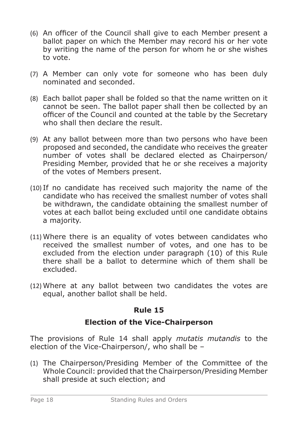- (6) An officer of the Council shall give to each Member present a ballot paper on which the Member may record his or her vote by writing the name of the person for whom he or she wishes to vote.
- (7) A Member can only vote for someone who has been duly nominated and seconded.
- (8) Each ballot paper shall be folded so that the name written on it cannot be seen. The ballot paper shall then be collected by an officer of the Council and counted at the table by the Secretary who shall then declare the result.
- (9) At any ballot between more than two persons who have been proposed and seconded, the candidate who receives the greater number of votes shall be declared elected as Chairperson/ Presiding Member, provided that he or she receives a majority of the votes of Members present.
- (10) If no candidate has received such majority the name of the candidate who has received the smallest number of votes shall be withdrawn, the candidate obtaining the smallest number of votes at each ballot being excluded until one candidate obtains a majority.
- (11) Where there is an equality of votes between candidates who received the smallest number of votes, and one has to be excluded from the election under paragraph (10) of this Rule there shall be a ballot to determine which of them shall be excluded.
- (12) Where at any ballot between two candidates the votes are equal, another ballot shall be held.

# **Election of the Vice-Chairperson**

The provisions of Rule 14 shall apply *mutatis mutandis* to the election of the Vice-Chairperson/, who shall be –

(1) The Chairperson/Presiding Member of the Committee of the Whole Council: provided that the Chairperson/Presiding Member shall preside at such election; and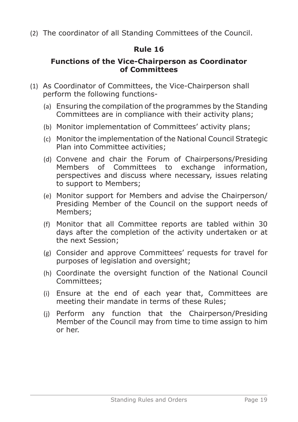(2) The coordinator of all Standing Committees of the Council.

# **Rule 16**

#### **Functions of the Vice-Chairperson as Coordinator of Committees**

- (1) As Coordinator of Committees, the Vice-Chairperson shall perform the following functions-
	- (a) Ensuring the compilation of the programmes by the Standing Committees are in compliance with their activity plans;
	- (b) Monitor implementation of Committees' activity plans;
	- (c) Monitor the implementation of the National Council Strategic Plan into Committee activities;
	- (d) Convene and chair the Forum of Chairpersons/Presiding Members of Committees to exchange information, perspectives and discuss where necessary, issues relating to support to Members;
	- (e) Monitor support for Members and advise the Chairperson/ Presiding Member of the Council on the support needs of Members;
	- (f) Monitor that all Committee reports are tabled within 30 days after the completion of the activity undertaken or at the next Session;
	- (g) Consider and approve Committees' requests for travel for purposes of legislation and oversight;
	- (h) Coordinate the oversight function of the National Council Committees;
	- (i) Ensure at the end of each year that, Committees are meeting their mandate in terms of these Rules;
	- (j) Perform any function that the Chairperson/Presiding Member of the Council may from time to time assign to him or her.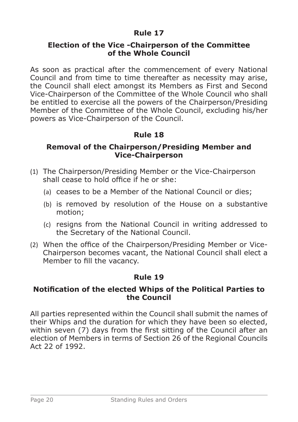#### **Election of the Vice -Chairperson of the Committee of the Whole Council**

As soon as practical after the commencement of every National Council and from time to time thereafter as necessity may arise, the Council shall elect amongst its Members as First and Second Vice-Chairperson of the Committee of the Whole Council who shall be entitled to exercise all the powers of the Chairperson/Presiding Member of the Committee of the Whole Council, excluding his/her powers as Vice-Chairperson of the Council.

# **Rule 18**

#### **Removal of the Chairperson/Presiding Member and Vice-Chairperson**

- (1) The Chairperson/Presiding Member or the Vice-Chairperson shall cease to hold office if he or she:
	- (a) ceases to be a Member of the National Council or dies;
	- (b) is removed by resolution of the House on a substantive motion;
	- (c) resigns from the National Council in writing addressed to the Secretary of the National Council.
- (2) When the office of the Chairperson/Presiding Member or Vice-Chairperson becomes vacant, the National Council shall elect a Member to fill the vacancy.

# **Rule 19**

#### **Notification of the elected Whips of the Political Parties to the Council**

All parties represented within the Council shall submit the names of their Whips and the duration for which they have been so elected, within seven (7) days from the first sitting of the Council after an election of Members in terms of Section 26 of the Regional Councils Act 22 of 1992.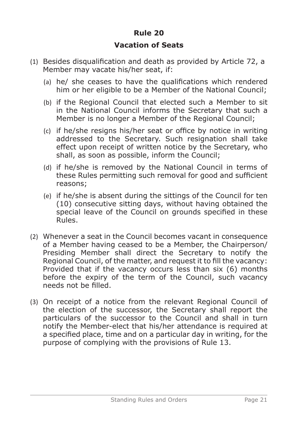# **Vacation of Seats**

- (1) Besides disqualification and death as provided by Article 72, a Member may vacate his/her seat, if:
	- (a) he/ she ceases to have the qualifications which rendered him or her eligible to be a Member of the National Council;
	- (b) if the Regional Council that elected such a Member to sit in the National Council informs the Secretary that such a Member is no longer a Member of the Regional Council;
	- (c) if he/she resigns his/her seat or office by notice in writing addressed to the Secretary. Such resignation shall take effect upon receipt of written notice by the Secretary, who shall, as soon as possible, inform the Council;
	- (d) if he/she is removed by the National Council in terms of these Rules permitting such removal for good and sufficient reasons;
	- (e) if he/she is absent during the sittings of the Council for ten (10) consecutive sitting days, without having obtained the special leave of the Council on grounds specified in these Rules.
- (2) Whenever a seat in the Council becomes vacant in consequence of a Member having ceased to be a Member, the Chairperson/ Presiding Member shall direct the Secretary to notify the Regional Council, of the matter, and request it to fill the vacancy: Provided that if the vacancy occurs less than six (6) months before the expiry of the term of the Council, such vacancy needs not be filled.
- (3) On receipt of a notice from the relevant Regional Council of the election of the successor, the Secretary shall report the particulars of the successor to the Council and shall in turn notify the Member-elect that his/her attendance is required at a specified place, time and on a particular day in writing, for the purpose of complying with the provisions of Rule 13.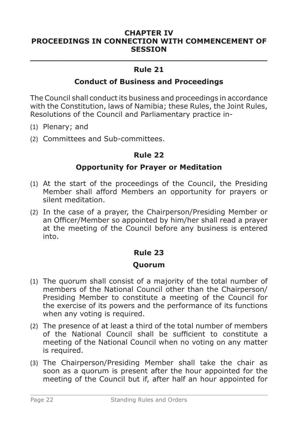#### **CHAPTER IV PROCEEDINGS IN CONNECTION WITH COMMENCEMENT OF SESSION**

# **\_\_\_\_\_\_\_\_\_\_\_\_\_\_\_\_\_\_\_\_\_\_\_\_\_\_\_\_\_\_\_\_\_\_\_\_\_\_\_\_\_\_\_\_\_\_\_ Rule 21**

#### **Conduct of Business and Proceedings**

The Council shall conduct its business and proceedings in accordance with the Constitution, laws of Namibia; these Rules, the Joint Rules, Resolutions of the Council and Parliamentary practice in-

- (1) Plenary; and
- (2) Committees and Sub-committees.

#### **Rule 22**

#### **Opportunity for Prayer or Meditation**

- (1) At the start of the proceedings of the Council, the Presiding Member shall afford Members an opportunity for prayers or silent meditation.
- (2) In the case of a prayer, the Chairperson/Presiding Member or an Officer/Member so appointed by him/her shall read a prayer at the meeting of the Council before any business is entered into.

#### **Rule 23**

#### **Quorum**

- (1) The quorum shall consist of a majority of the total number of members of the National Council other than the Chairperson/ Presiding Member to constitute a meeting of the Council for the exercise of its powers and the performance of its functions when any voting is required.
- (2) The presence of at least a third of the total number of members of the National Council shall be sufficient to constitute a meeting of the National Council when no voting on any matter is required.
- (3) The Chairperson/Presiding Member shall take the chair as soon as a quorum is present after the hour appointed for the meeting of the Council but if, after half an hour appointed for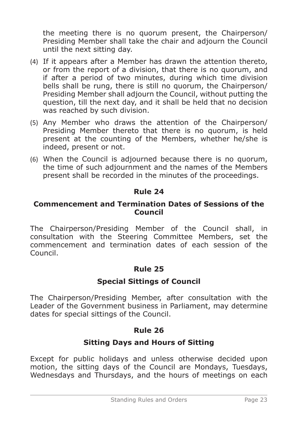the meeting there is no quorum present, the Chairperson/ Presiding Member shall take the chair and adjourn the Council until the next sitting day.

- (4) If it appears after a Member has drawn the attention thereto, or from the report of a division, that there is no quorum, and if after a period of two minutes, during which time division bells shall be rung, there is still no quorum, the Chairperson/ Presiding Member shall adjourn the Council, without putting the question, till the next day, and it shall be held that no decision was reached by such division.
- (5) Any Member who draws the attention of the Chairperson/ Presiding Member thereto that there is no quorum, is held present at the counting of the Members, whether he/she is indeed, present or not.
- (6) When the Council is adjourned because there is no quorum, the time of such adjournment and the names of the Members present shall be recorded in the minutes of the proceedings.

#### **Rule 24**

#### **Commencement and Termination Dates of Sessions of the Council**

The Chairperson/Presiding Member of the Council shall, in consultation with the Steering Committee Members, set the commencement and termination dates of each session of the Council.

# **Rule 25**

# **Special Sittings of Council**

The Chairperson/Presiding Member, after consultation with the Leader of the Government business in Parliament, may determine dates for special sittings of the Council.

# **Rule 26**

# **Sitting Days and Hours of Sitting**

Except for public holidays and unless otherwise decided upon motion, the sitting days of the Council are Mondays, Tuesdays, Wednesdays and Thursdays, and the hours of meetings on each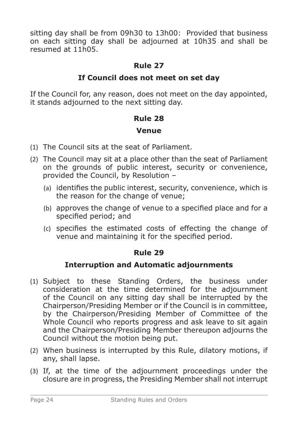sitting day shall be from 09h30 to 13h00: Provided that business on each sitting day shall be adjourned at 10h35 and shall be resumed at 11h05.

# **Rule 27**

# **If Council does not meet on set day**

If the Council for, any reason, does not meet on the day appointed, it stands adjourned to the next sitting day.

# **Rule 28**

#### **Venue**

- (1) The Council sits at the seat of Parliament.
- (2) The Council may sit at a place other than the seat of Parliament on the grounds of public interest, security or convenience, provided the Council, by Resolution –
	- (a) identifies the public interest, security, convenience, which is the reason for the change of venue;
	- (b) approves the change of venue to a specified place and for a specified period; and
	- (c) specifies the estimated costs of effecting the change of venue and maintaining it for the specified period.

#### **Rule 29**

#### **Interruption and Automatic adjournments**

- (1) Subject to these Standing Orders, the business under consideration at the time determined for the adjournment of the Council on any sitting day shall be interrupted by the Chairperson/Presiding Member or if the Council is in committee, by the Chairperson/Presiding Member of Committee of the Whole Council who reports progress and ask leave to sit again and the Chairperson/Presiding Member thereupon adjourns the Council without the motion being put.
- (2) When business is interrupted by this Rule, dilatory motions, if any, shall lapse.
- (3) If, at the time of the adjournment proceedings under the closure are in progress, the Presiding Member shall not interrupt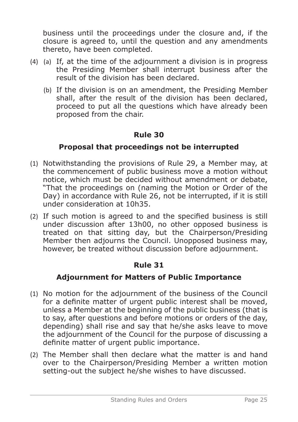business until the proceedings under the closure and, if the closure is agreed to, until the question and any amendments thereto, have been completed.

- (a) If, at the time of the adjournment a division is in progress (4)the Presiding Member shall interrupt business after the result of the division has been declared.
	- (b) If the division is on an amendment, the Presiding Member shall, after the result of the division has been declared, proceed to put all the questions which have already been proposed from the chair.

# **Rule 30**

# **Proposal that proceedings not be interrupted**

- (1) Notwithstanding the provisions of Rule 29, a Member may, at the commencement of public business move a motion without notice, which must be decided without amendment or debate, "That the proceedings on (naming the Motion or Order of the Day) in accordance with Rule 26, not be interrupted, if it is still under consideration at 10h35.
- (2) If such motion is agreed to and the specified business is still under discussion after 13h00, no other opposed business is treated on that sitting day, but the Chairperson/Presiding Member then adjourns the Council. Unopposed business may, however, be treated without discussion before adjournment.

# **Rule 31**

# **Adjournment for Matters of Public Importance**

- (1) No motion for the adjournment of the business of the Council for a definite matter of urgent public interest shall be moved, unless a Member at the beginning of the public business (that is to say, after questions and before motions or orders of the day, depending) shall rise and say that he/she asks leave to move the adjournment of the Council for the purpose of discussing a definite matter of urgent public importance.
- (2) The Member shall then declare what the matter is and hand over to the Chairperson/Presiding Member a written motion setting-out the subject he/she wishes to have discussed.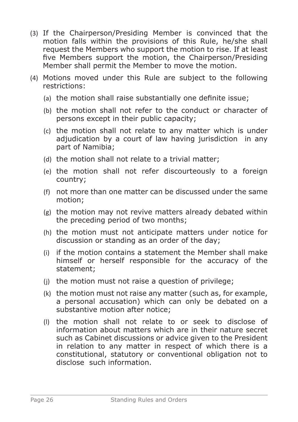- (3) If the Chairperson/Presiding Member is convinced that the motion falls within the provisions of this Rule, he/she shall request the Members who support the motion to rise. If at least five Members support the motion, the Chairperson/Presiding Member shall permit the Member to move the motion.
- (4) Motions moved under this Rule are subject to the following restrictions:
	- (a) the motion shall raise substantially one definite issue;
	- (b) the motion shall not refer to the conduct or character of persons except in their public capacity;
	- (c) the motion shall not relate to any matter which is under adjudication by a court of law having jurisdiction in any part of Namibia;
	- (d) the motion shall not relate to a trivial matter;
	- (e) the motion shall not refer discourteously to a foreign country;
	- (f) not more than one matter can be discussed under the same motion;
	- (g) the motion may not revive matters already debated within the preceding period of two months;
	- (h) the motion must not anticipate matters under notice for discussion or standing as an order of the day;
	- (i) if the motion contains a statement the Member shall make himself or herself responsible for the accuracy of the statement;
	- (j) the motion must not raise a question of privilege;
	- (k) the motion must not raise any matter (such as, for example, a personal accusation) which can only be debated on a substantive motion after notice;
	- (l) the motion shall not relate to or seek to disclose of information about matters which are in their nature secret such as Cabinet discussions or advice given to the President in relation to any matter in respect of which there is a constitutional, statutory or conventional obligation not to disclose such information.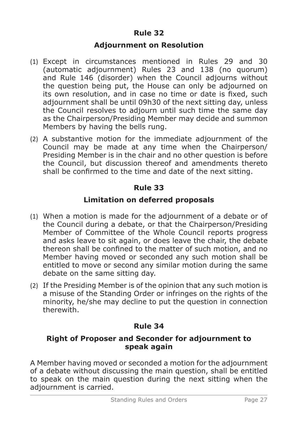#### **Adjournment on Resolution**

- (1) Except in circumstances mentioned in Rules 29 and 30 (automatic adjournment) Rules 23 and 138 (no quorum) and Rule 146 (disorder) when the Council adjourns without the question being put, the House can only be adjourned on its own resolution, and in case no time or date is fixed, such adjournment shall be until 09h30 of the next sitting day, unless the Council resolves to adjourn until such time the same day as the Chairperson/Presiding Member may decide and summon Members by having the bells rung.
- (2) A substantive motion for the immediate adjournment of the Council may be made at any time when the Chairperson/ Presiding Member is in the chair and no other question is before the Council, but discussion thereof and amendments thereto shall be confirmed to the time and date of the next sitting.

#### **Rule 33**

#### **Limitation on deferred proposals**

- (1) When a motion is made for the adjournment of a debate or of the Council during a debate, or that the Chairperson/Presiding Member of Committee of the Whole Council reports progress and asks leave to sit again, or does leave the chair, the debate thereon shall be confined to the matter of such motion, and no Member having moved or seconded any such motion shall be entitled to move or second any similar motion during the same debate on the same sitting day.
- (2) If the Presiding Member is of the opinion that any such motion is a misuse of the Standing Order or infringes on the rights of the minority, he/she may decline to put the question in connection therewith.

# **Rule 34**

#### **Right of Proposer and Seconder for adjournment to speak again**

A Member having moved or seconded a motion for the adjournment of a debate without discussing the main question, shall be entitled to speak on the main question during the next sitting when the adjournment is carried.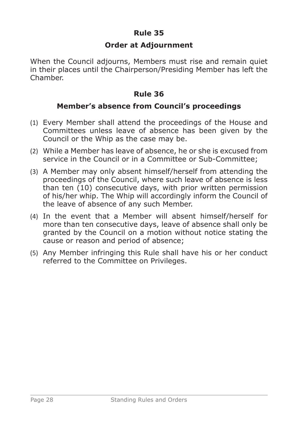#### **Order at Adjournment**

When the Council adjourns, Members must rise and remain quiet in their places until the Chairperson/Presiding Member has left the Chamber.

# **Rule 36**

#### **Member's absence from Council's proceedings**

- (1) Every Member shall attend the proceedings of the House and Committees unless leave of absence has been given by the Council or the Whip as the case may be.
- (2) While a Member has leave of absence, he or she is excused from service in the Council or in a Committee or Sub-Committee;
- (3) A Member may only absent himself/herself from attending the proceedings of the Council, where such leave of absence is less than ten (10) consecutive days, with prior written permission of his/her whip. The Whip will accordingly inform the Council of the leave of absence of any such Member.
- (4) In the event that a Member will absent himself/herself for more than ten consecutive days, leave of absence shall only be granted by the Council on a motion without notice stating the cause or reason and period of absence;
- (5) Any Member infringing this Rule shall have his or her conduct referred to the Committee on Privileges.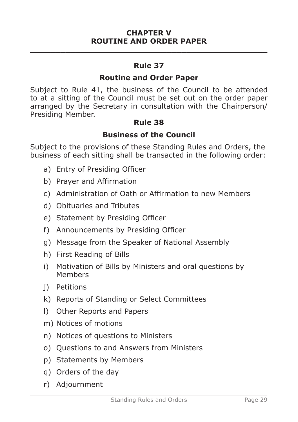#### **CHAPTER V ROUTINE AND ORDER PAPER \_\_\_\_\_\_\_\_\_\_\_\_\_\_\_\_\_\_\_\_\_\_\_\_\_\_\_\_\_\_\_\_\_\_\_\_\_\_\_\_\_\_\_\_\_\_\_**

#### **Rule 37**

#### **Routine and Order Paper**

Subject to Rule 41, the business of the Council to be attended to at a sitting of the Council must be set out on the order paper arranged by the Secretary in consultation with the Chairperson/ Presiding Member.

#### **Rule 38**

# **Business of the Council**

Subject to the provisions of these Standing Rules and Orders, the business of each sitting shall be transacted in the following order:

- a) Entry of Presiding Officer
- b) Prayer and Affirmation
- c) Administration of Oath or Affirmation to new Members
- d) Obituaries and Tributes
- e) Statement by Presiding Officer
- f) Announcements by Presiding Officer
- g) Message from the Speaker of National Assembly
- h) First Reading of Bills
- i) Motivation of Bills by Ministers and oral questions by Members
- j) Petitions
- k) Reports of Standing or Select Committees
- l) Other Reports and Papers
- m) Notices of motions
- n) Notices of questions to Ministers
- o) Questions to and Answers from Ministers
- p) Statements by Members
- q) Orders of the day
- r) Adjournment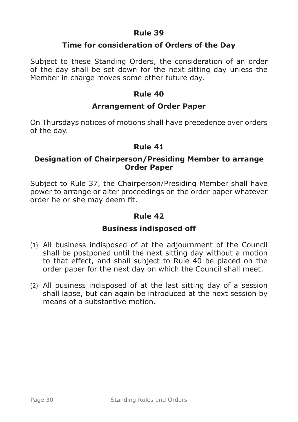#### **Time for consideration of Orders of the Day**

Subject to these Standing Orders, the consideration of an order of the day shall be set down for the next sitting day unless the Member in charge moves some other future day.

#### **Rule 40**

#### **Arrangement of Order Paper**

On Thursdays notices of motions shall have precedence over orders of the day.

#### **Rule 41**

#### **Designation of Chairperson/Presiding Member to arrange Order Paper**

Subject to Rule 37, the Chairperson/Presiding Member shall have power to arrange or alter proceedings on the order paper whatever order he or she may deem fit.

#### **Rule 42**

#### **Business indisposed off**

- (1) All business indisposed of at the adjournment of the Council shall be postponed until the next sitting day without a motion to that effect, and shall subject to Rule 40 be placed on the order paper for the next day on which the Council shall meet.
- (2) All business indisposed of at the last sitting day of a session shall lapse, but can again be introduced at the next session by means of a substantive motion.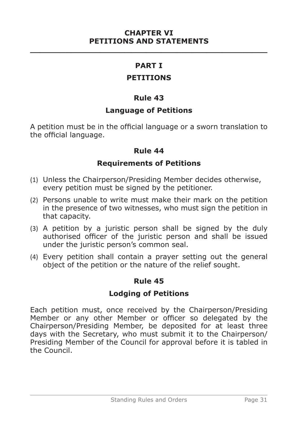#### **CHAPTER VI PETITIONS AND STATEMENTS \_\_\_\_\_\_\_\_\_\_\_\_\_\_\_\_\_\_\_\_\_\_\_\_\_\_\_\_\_\_\_\_\_\_\_\_\_\_\_\_\_\_\_\_\_\_\_**

#### **PART I**

#### **PETITIONS**

#### **Rule 43**

#### **Language of Petitions**

A petition must be in the official language or a sworn translation to the official language.

#### **Rule 44**

#### **Requirements of Petitions**

- (1) Unless the Chairperson/Presiding Member decides otherwise, every petition must be signed by the petitioner.
- (2) Persons unable to write must make their mark on the petition in the presence of two witnesses, who must sign the petition in that capacity.
- (3) A petition by a juristic person shall be signed by the duly authorised officer of the juristic person and shall be issued under the juristic person's common seal.
- (4) Every petition shall contain a prayer setting out the general object of the petition or the nature of the relief sought.

#### **Rule 45**

# **Lodging of Petitions**

Each petition must, once received by the Chairperson/Presiding Member or any other Member or officer so delegated by the Chairperson/Presiding Member, be deposited for at least three days with the Secretary, who must submit it to the Chairperson/ Presiding Member of the Council for approval before it is tabled in the Council.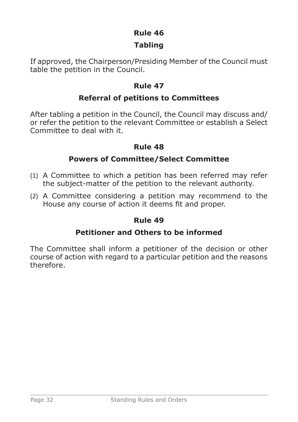# **Tabling**

If approved, the Chairperson/Presiding Member of the Council must table the petition in the Council.

# **Rule 47**

# **Referral of petitions to Committees**

After tabling a petition in the Council, the Council may discuss and/ or refer the petition to the relevant Committee or establish a Select Committee to deal with it.

# **Rule 48**

# **Powers of Committee/Select Committee**

- (1) A Committee to which a petition has been referred may refer the subject-matter of the petition to the relevant authority.
- (2) A Committee considering a petition may recommend to the House any course of action it deems fit and proper.

# **Rule 49**

# **Petitioner and Others to be informed**

The Committee shall inform a petitioner of the decision or other course of action with regard to a particular petition and the reasons therefore.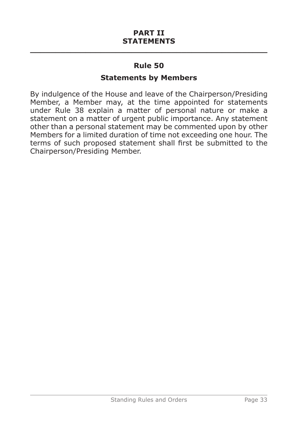#### **Statements by Members**

By indulgence of the House and leave of the Chairperson/Presiding Member, a Member may, at the time appointed for statements under Rule 38 explain a matter of personal nature or make a statement on a matter of urgent public importance. Any statement other than a personal statement may be commented upon by other Members for a limited duration of time not exceeding one hour. The terms of such proposed statement shall first be submitted to the Chairperson/Presiding Member.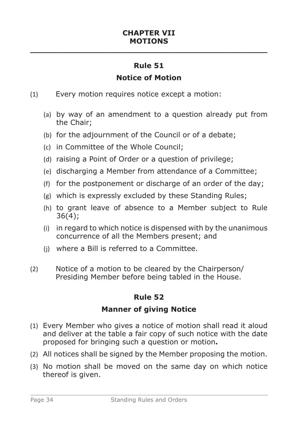# **Notice of Motion**

- (1) Every motion requires notice except a motion:
	- (a) by way of an amendment to a question already put from the Chair;
	- (b) for the adjournment of the Council or of a debate;
	- (c) in Committee of the Whole Council;
	- (d) raising a Point of Order or a question of privilege;
	- (e) discharging a Member from attendance of a Committee;
	- (f) for the postponement or discharge of an order of the day;
	- (g) which is expressly excluded by these Standing Rules;
	- (h) to grant leave of absence to a Member subject to Rule 36(4);
	- (i) in regard to which notice is dispensed with by the unanimous concurrence of all the Members present; and
	- (j) where a Bill is referred to a Committee.
- (2) Notice of a motion to be cleared by the Chairperson/ Presiding Member before being tabled in the House.

# **Rule 52**

# **Manner of giving Notice**

- (1) Every Member who gives a notice of motion shall read it aloud and deliver at the table a fair copy of such notice with the date proposed for bringing such a question or motion**.**
- (2) All notices shall be signed by the Member proposing the motion.
- (3) No motion shall be moved on the same day on which notice thereof is given.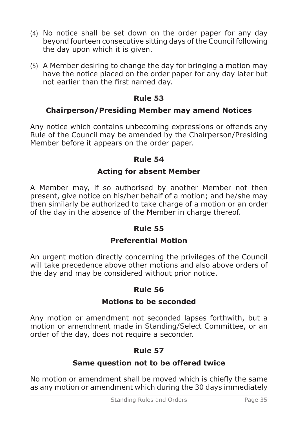- (4) No notice shall be set down on the order paper for any day beyond fourteen consecutive sitting days of the Council following the day upon which it is given.
- (5) A Member desiring to change the day for bringing a motion may have the notice placed on the order paper for any day later but not earlier than the first named day.

# **Chairperson/Presiding Member may amend Notices**

Any notice which contains unbecoming expressions or offends any Rule of the Council may be amended by the Chairperson/Presiding Member before it appears on the order paper.

# **Rule 54**

# **Acting for absent Member**

A Member may, if so authorised by another Member not then present, give notice on his/her behalf of a motion; and he/she may then similarly be authorized to take charge of a motion or an order of the day in the absence of the Member in charge thereof.

# **Rule 55**

# **Preferential Motion**

An urgent motion directly concerning the privileges of the Council will take precedence above other motions and also above orders of the day and may be considered without prior notice.

# **Rule 56**

# **Motions to be seconded**

Any motion or amendment not seconded lapses forthwith, but a motion or amendment made in Standing/Select Committee, or an order of the day, does not require a seconder.

# **Rule 57**

# **Same question not to be offered twice**

No motion or amendment shall be moved which is chiefly the same as any motion or amendment which during the 30 days immediately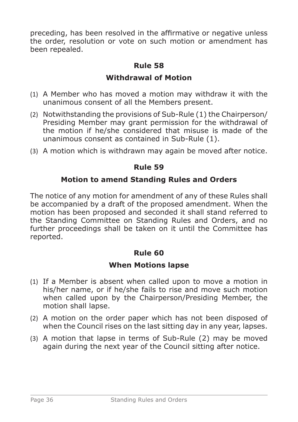preceding, has been resolved in the affirmative or negative unless the order, resolution or vote on such motion or amendment has been repealed.

# **Rule 58**

# **Withdrawal of Motion**

- (1) A Member who has moved a motion may withdraw it with the unanimous consent of all the Members present.
- (2) Notwithstanding the provisions of Sub-Rule (1) the Chairperson/ Presiding Member may grant permission for the withdrawal of the motion if he/she considered that misuse is made of the unanimous consent as contained in Sub-Rule (1).
- (3) A motion which is withdrawn may again be moved after notice.

# **Rule 59**

# **Motion to amend Standing Rules and Orders**

The notice of any motion for amendment of any of these Rules shall be accompanied by a draft of the proposed amendment. When the motion has been proposed and seconded it shall stand referred to the Standing Committee on Standing Rules and Orders, and no further proceedings shall be taken on it until the Committee has reported.

### **Rule 60**

### **When Motions lapse**

- (1) If a Member is absent when called upon to move a motion in his/her name, or if he/she fails to rise and move such motion when called upon by the Chairperson/Presiding Member, the motion shall lapse.
- (2) A motion on the order paper which has not been disposed of when the Council rises on the last sitting day in any year, lapses.
- (3) A motion that lapse in terms of Sub-Rule (2) may be moved again during the next year of the Council sitting after notice.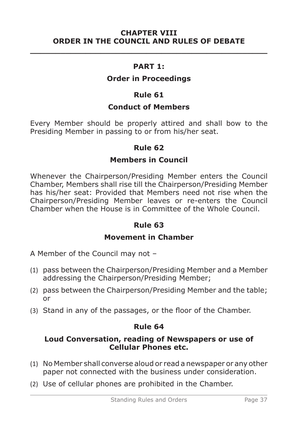**\_\_\_\_\_\_\_\_\_\_\_\_\_\_\_\_\_\_\_\_\_\_\_\_\_\_\_\_\_\_\_\_\_\_\_\_\_\_\_\_\_\_\_\_\_\_\_**

#### **PART 1:**

### **Order in Proceedings**

#### **Rule 61**

#### **Conduct of Members**

Every Member should be properly attired and shall bow to the Presiding Member in passing to or from his/her seat.

#### **Rule 62**

### **Members in Council**

Whenever the Chairperson/Presiding Member enters the Council Chamber, Members shall rise till the Chairperson/Presiding Member has his/her seat: Provided that Members need not rise when the Chairperson/Presiding Member leaves or re-enters the Council Chamber when the House is in Committee of the Whole Council.

# **Rule 63**

#### **Movement in Chamber**

A Member of the Council may not –

- (1) pass between the Chairperson/Presiding Member and a Member addressing the Chairperson/Presiding Member;
- (2) pass between the Chairperson/Presiding Member and the table; or
- (3) Stand in any of the passages, or the floor of the Chamber.

### **Rule 64**

#### **Loud Conversation, reading of Newspapers or use of Cellular Phones etc.**

- (1) No Member shall converse aloud or read a newspaper or any other paper not connected with the business under consideration.
- (2) Use of cellular phones are prohibited in the Chamber.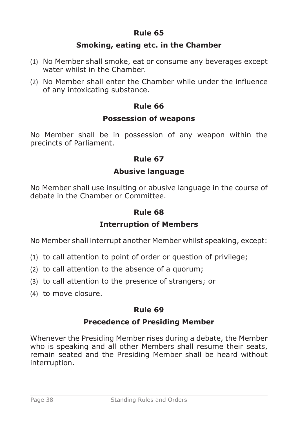### **Smoking, eating etc. in the Chamber**

- (1) No Member shall smoke, eat or consume any beverages except water whilst in the Chamber.
- (2) No Member shall enter the Chamber while under the influence of any intoxicating substance.

### **Rule 66**

#### **Possession of weapons**

No Member shall be in possession of any weapon within the precincts of Parliament.

### **Rule 67**

### **Abusive language**

No Member shall use insulting or abusive language in the course of debate in the Chamber or Committee.

### **Rule 68**

### **Interruption of Members**

No Member shall interrupt another Member whilst speaking, except:

- (1) to call attention to point of order or question of privilege;
- (2) to call attention to the absence of a quorum;
- (3) to call attention to the presence of strangers; or
- (4) to move closure.

# **Rule 69**

### **Precedence of Presiding Member**

Whenever the Presiding Member rises during a debate, the Member who is speaking and all other Members shall resume their seats, remain seated and the Presiding Member shall be heard without interruption.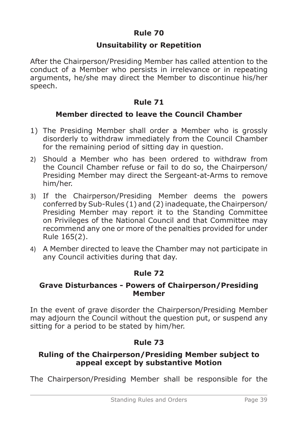### **Unsuitability or Repetition**

After the Chairperson/Presiding Member has called attention to the conduct of a Member who persists in irrelevance or in repeating arguments, he/she may direct the Member to discontinue his/her speech.

# **Rule 71**

### **Member directed to leave the Council Chamber**

- 1) The Presiding Member shall order a Member who is grossly disorderly to withdraw immediately from the Council Chamber for the remaining period of sitting day in question.
- 2) Should a Member who has been ordered to withdraw from the Council Chamber refuse or fail to do so, the Chairperson/ Presiding Member may direct the Sergeant-at-Arms to remove him/her.
- 3) If the Chairperson/Presiding Member deems the powers conferred by Sub-Rules (1) and (2) inadequate, the Chairperson/ Presiding Member may report it to the Standing Committee on Privileges of the National Council and that Committee may recommend any one or more of the penalties provided for under Rule 165(2).
- 4) A Member directed to leave the Chamber may not participate in any Council activities during that day.

# **Rule 72**

#### **Grave Disturbances - Powers of Chairperson/Presiding Member**

In the event of grave disorder the Chairperson/Presiding Member may adjourn the Council without the question put, or suspend any sitting for a period to be stated by him/her.

# **Rule 73**

### **Ruling of the Chairperson/Presiding Member subject to appeal except by substantive Motion**

The Chairperson/Presiding Member shall be responsible for the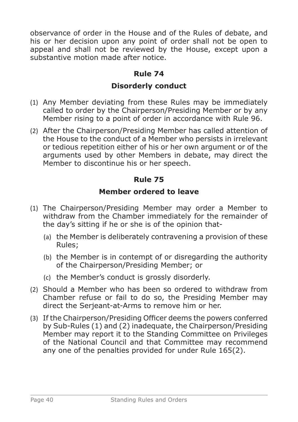observance of order in the House and of the Rules of debate, and his or her decision upon any point of order shall not be open to appeal and shall not be reviewed by the House, except upon a substantive motion made after notice.

# **Rule 74**

# **Disorderly conduct**

- (1) Any Member deviating from these Rules may be immediately called to order by the Chairperson/Presiding Member or by any Member rising to a point of order in accordance with Rule 96.
- (2) After the Chairperson/Presiding Member has called attention of the House to the conduct of a Member who persists in irrelevant or tedious repetition either of his or her own argument or of the arguments used by other Members in debate, may direct the Member to discontinue his or her speech.

# **Rule 75**

# **Member ordered to leave**

- (1) The Chairperson/Presiding Member may order a Member to withdraw from the Chamber immediately for the remainder of the day's sitting if he or she is of the opinion that-
	- (a) the Member is deliberately contravening a provision of these Rules;
	- (b) the Member is in contempt of or disregarding the authority of the Chairperson/Presiding Member; or
	- (c) the Member's conduct is grossly disorderly.
- (2) Should a Member who has been so ordered to withdraw from Chamber refuse or fail to do so, the Presiding Member may direct the Serjeant-at-Arms to remove him or her.
- (3) If the Chairperson/Presiding Officer deems the powers conferred by Sub-Rules (1) and (2) inadequate, the Chairperson/Presiding Member may report it to the Standing Committee on Privileges of the National Council and that Committee may recommend any one of the penalties provided for under Rule 165(2).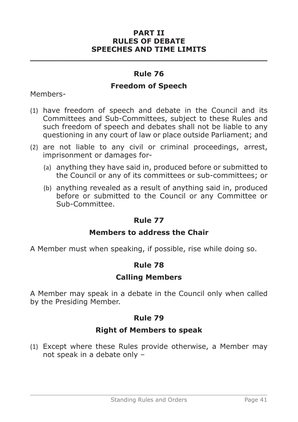#### **PART II RULES OF DEBATE SPEECHES AND TIME LIMITS**

### **Rule 76**

**\_\_\_\_\_\_\_\_\_\_\_\_\_\_\_\_\_\_\_\_\_\_\_\_\_\_\_\_\_\_\_\_\_\_\_\_\_\_\_\_\_\_\_\_\_\_\_**

### **Freedom of Speech**

Members-

- (1) have freedom of speech and debate in the Council and its Committees and Sub-Committees, subject to these Rules and such freedom of speech and debates shall not be liable to any questioning in any court of law or place outside Parliament; and
- (2) are not liable to any civil or criminal proceedings, arrest, imprisonment or damages for-
	- (a) anything they have said in, produced before or submitted to the Council or any of its committees or sub-committees; or
	- (b) anything revealed as a result of anything said in, produced before or submitted to the Council or any Committee or Sub-Committee.

### **Rule 77**

### **Members to address the Chair**

A Member must when speaking, if possible, rise while doing so.

### **Rule 78**

### **Calling Members**

A Member may speak in a debate in the Council only when called by the Presiding Member.

### **Rule 79**

### **Right of Members to speak**

(1) Except where these Rules provide otherwise, a Member may not speak in a debate only –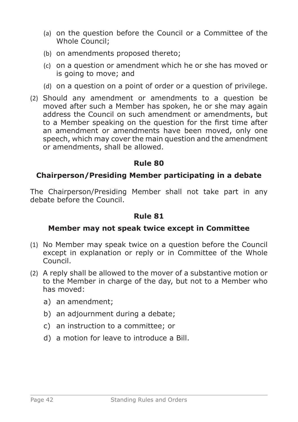- (a) on the question before the Council or a Committee of the Whole Council;
- (b) on amendments proposed thereto;
- (c) on a question or amendment which he or she has moved or is going to move; and
- (d) on a question on a point of order or a question of privilege.
- (2) Should any amendment or amendments to a question be moved after such a Member has spoken, he or she may again address the Council on such amendment or amendments, but to a Member speaking on the question for the first time after an amendment or amendments have been moved, only one speech, which may cover the main question and the amendment or amendments, shall be allowed.

### **Chairperson/Presiding Member participating in a debate**

The Chairperson/Presiding Member shall not take part in any debate before the Council.

### **Rule 81**

### **Member may not speak twice except in Committee**

- (1) No Member may speak twice on a question before the Council except in explanation or reply or in Committee of the Whole Council.
- (2) A reply shall be allowed to the mover of a substantive motion or to the Member in charge of the day, but not to a Member who has moved:
	- a) an amendment;
	- b) an adjournment during a debate;
	- c) an instruction to a committee; or
	- d) a motion for leave to introduce a Bill.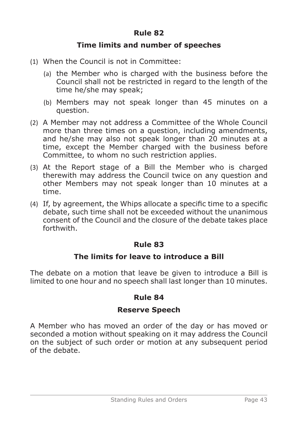### **Time limits and number of speeches**

- (1) When the Council is not in Committee:
	- (a) the Member who is charged with the business before the Council shall not be restricted in regard to the length of the time he/she may speak;
	- (b) Members may not speak longer than 45 minutes on a question.
- (2) A Member may not address a Committee of the Whole Council more than three times on a question, including amendments, and he/she may also not speak longer than 20 minutes at a time, except the Member charged with the business before Committee, to whom no such restriction applies.
- (3) At the Report stage of a Bill the Member who is charged therewith may address the Council twice on any question and other Members may not speak longer than 10 minutes at a time.
- (4) If, by agreement, the Whips allocate a specific time to a specific debate, such time shall not be exceeded without the unanimous consent of the Council and the closure of the debate takes place forthwith.

### **Rule 83**

# **The limits for leave to introduce a Bill**

The debate on a motion that leave be given to introduce a Bill is limited to one hour and no speech shall last longer than 10 minutes.

### **Rule 84**

# **Reserve Speech**

A Member who has moved an order of the day or has moved or seconded a motion without speaking on it may address the Council on the subject of such order or motion at any subsequent period of the debate.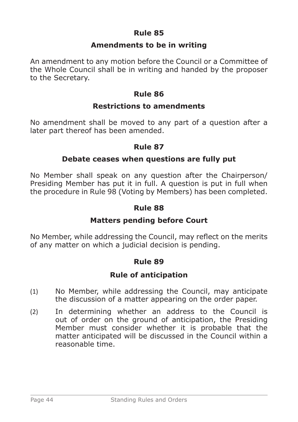### **Amendments to be in writing**

An amendment to any motion before the Council or a Committee of the Whole Council shall be in writing and handed by the proposer to the Secretary.

### **Rule 86**

### **Restrictions to amendments**

No amendment shall be moved to any part of a question after a later part thereof has been amended.

#### **Rule 87**

### **Debate ceases when questions are fully put**

No Member shall speak on any question after the Chairperson/ Presiding Member has put it in full. A question is put in full when the procedure in Rule 98 (Voting by Members) has been completed.

#### **Rule 88**

### **Matters pending before Court**

No Member, while addressing the Council, may reflect on the merits of any matter on which a judicial decision is pending.

#### **Rule 89**

### **Rule of anticipation**

- (1) No Member, while addressing the Council, may anticipate the discussion of a matter appearing on the order paper.
- (2) In determining whether an address to the Council is out of order on the ground of anticipation, the Presiding Member must consider whether it is probable that the matter anticipated will be discussed in the Council within a reasonable time.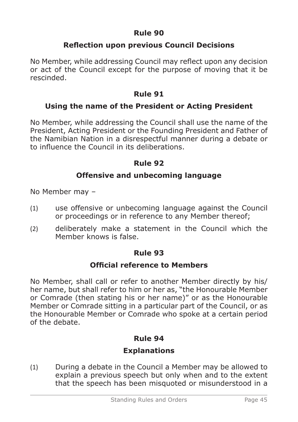# **Reflection upon previous Council Decisions**

No Member, while addressing Council may reflect upon any decision or act of the Council except for the purpose of moving that it be rescinded.

# **Rule 91**

### **Using the name of the President or Acting President**

No Member, while addressing the Council shall use the name of the President, Acting President or the Founding President and Father of the Namibian Nation in a disrespectful manner during a debate or to influence the Council in its deliberations.

### **Rule 92**

### **Offensive and unbecoming language**

No Member may –

- (1) use offensive or unbecoming language against the Council or proceedings or in reference to any Member thereof;
- (2) deliberately make a statement in the Council which the Member knows is false.

### **Rule 93**

### **Official reference to Members**

No Member, shall call or refer to another Member directly by his/ her name, but shall refer to him or her as, "the Honourable Member or Comrade (then stating his or her name)" or as the Honourable Member or Comrade sitting in a particular part of the Council, or as the Honourable Member or Comrade who spoke at a certain period of the debate.

### **Rule 94**

# **Explanations**

(1) During a debate in the Council a Member may be allowed to explain a previous speech but only when and to the extent that the speech has been misquoted or misunderstood in a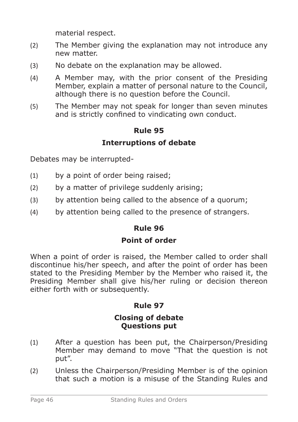material respect.

- (2) The Member giving the explanation may not introduce any new matter.
- (3) No debate on the explanation may be allowed.
- (4) A Member may, with the prior consent of the Presiding Member, explain a matter of personal nature to the Council, although there is no question before the Council.
- (5) The Member may not speak for longer than seven minutes and is strictly confined to vindicating own conduct.

# **Rule 95 Interruptions of debate**

Debates may be interrupted-

- (1) by a point of order being raised;
- (2) by a matter of privilege suddenly arising;
- (3) by attention being called to the absence of a quorum;
- (4) by attention being called to the presence of strangers.

### **Rule 96**

### **Point of order**

When a point of order is raised, the Member called to order shall discontinue his/her speech, and after the point of order has been stated to the Presiding Member by the Member who raised it, the Presiding Member shall give his/her ruling or decision thereon either forth with or subsequently.

# **Rule 97**

#### **Closing of debate Questions put**

- (1) After a question has been put, the Chairperson/Presiding Member may demand to move "That the question is not put".
- (2) Unless the Chairperson/Presiding Member is of the opinion that such a motion is a misuse of the Standing Rules and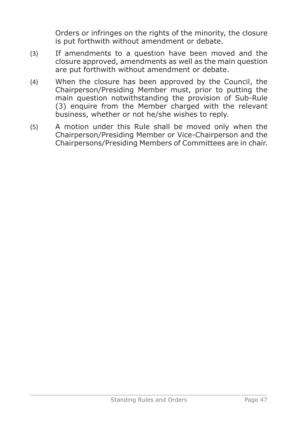Orders or infringes on the rights of the minority, the closure is put forthwith without amendment or debate.

- (3) If amendments to a question have been moved and the closure approved, amendments as well as the main question are put forthwith without amendment or debate.
- (4) When the closure has been approved by the Council, the Chairperson/Presiding Member must, prior to putting the main question notwithstanding the provision of Sub-Rule (3) enquire from the Member charged with the relevant business, whether or not he/she wishes to reply.
- (5) A motion under this Rule shall be moved only when the Chairperson/Presiding Member or Vice-Chairperson and the Chairpersons/Presiding Members of Committees are in chair.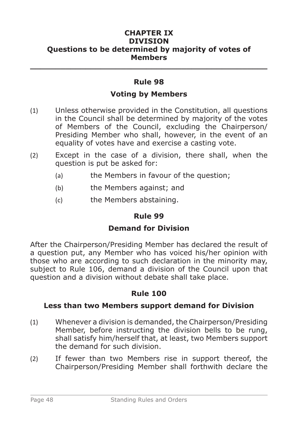#### **CHAPTER IX DIVISION Questions to be determined by majority of votes of Members**

# **Rule 98**

**\_\_\_\_\_\_\_\_\_\_\_\_\_\_\_\_\_\_\_\_\_\_\_\_\_\_\_\_\_\_\_\_\_\_\_\_\_\_\_\_\_\_\_\_\_\_\_**

### **Voting by Members**

- (1) Unless otherwise provided in the Constitution, all questions in the Council shall be determined by majority of the votes of Members of the Council, excluding the Chairperson/ Presiding Member who shall, however, in the event of an equality of votes have and exercise a casting vote.
- (2) Except in the case of a division, there shall, when the question is put be asked for:
	- (a) the Members in favour of the question;
	- (b) the Members against; and
	- (c) the Members abstaining.

### **Rule 99**

### **Demand for Division**

After the Chairperson/Presiding Member has declared the result of a question put, any Member who has voiced his/her opinion with those who are according to such declaration in the minority may, subject to Rule 106, demand a division of the Council upon that question and a division without debate shall take place.

# **Rule 100**

### **Less than two Members support demand for Division**

- (1) Whenever a division is demanded, the Chairperson/Presiding Member, before instructing the division bells to be rung, shall satisfy him/herself that, at least, two Members support the demand for such division.
- (2) If fewer than two Members rise in support thereof, the Chairperson/Presiding Member shall forthwith declare the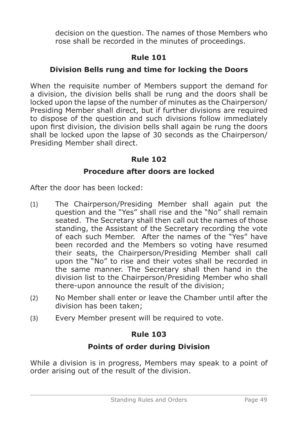decision on the question. The names of those Members who rose shall be recorded in the minutes of proceedings.

# **Rule 101**

# **Division Bells rung and time for locking the Doors**

When the requisite number of Members support the demand for a division, the division bells shall be rung and the doors shall be locked upon the lapse of the number of minutes as the Chairperson/ Presiding Member shall direct, but if further divisions are required to dispose of the question and such divisions follow immediately upon first division, the division bells shall again be rung the doors shall be locked upon the lapse of 30 seconds as the Chairperson/ Presiding Member shall direct.

# **Rule 102**

# **Procedure after doors are locked**

After the door has been locked:

- (1) The Chairperson/Presiding Member shall again put the question and the "Yes" shall rise and the "No" shall remain seated. The Secretary shall then call out the names of those standing, the Assistant of the Secretary recording the vote of each such Member. After the names of the "Yes" have been recorded and the Members so voting have resumed their seats, the Chairperson/Presiding Member shall call upon the "No" to rise and their votes shall be recorded in the same manner. The Secretary shall then hand in the division list to the Chairperson/Presiding Member who shall there-upon announce the result of the division;
- (2) No Member shall enter or leave the Chamber until after the division has been taken;
- (3) Every Member present will be required to vote.

# **Rule 103**

# **Points of order during Division**

While a division is in progress, Members may speak to a point of order arising out of the result of the division.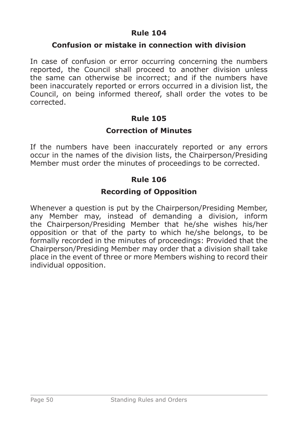### **Confusion or mistake in connection with division**

In case of confusion or error occurring concerning the numbers reported, the Council shall proceed to another division unless the same can otherwise be incorrect; and if the numbers have been inaccurately reported or errors occurred in a division list, the Council, on being informed thereof, shall order the votes to be corrected.

# **Rule 105**

### **Correction of Minutes**

If the numbers have been inaccurately reported or any errors occur in the names of the division lists, the Chairperson/Presiding Member must order the minutes of proceedings to be corrected.

### **Rule 106**

### **Recording of Opposition**

Whenever a question is put by the Chairperson/Presiding Member, any Member may, instead of demanding a division, inform the Chairperson/Presiding Member that he/she wishes his/her opposition or that of the party to which he/she belongs, to be formally recorded in the minutes of proceedings: Provided that the Chairperson/Presiding Member may order that a division shall take place in the event of three or more Members wishing to record their individual opposition.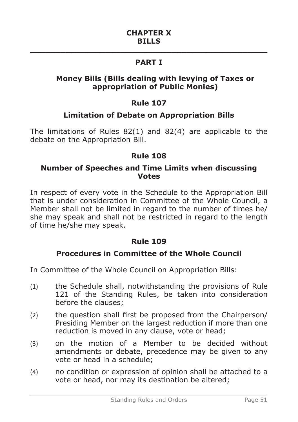# **\_\_\_\_\_\_\_\_\_\_\_\_\_\_\_\_\_\_\_\_\_\_\_\_\_\_\_\_\_\_\_\_\_\_\_\_\_\_\_\_\_\_\_\_\_\_\_ PART I**

### **Money Bills (Bills dealing with levying of Taxes or appropriation of Public Monies)**

# **Rule 107**

### **Limitation of Debate on Appropriation Bills**

The limitations of Rules 82(1) and 82(4) are applicable to the debate on the Appropriation Bill.

### **Rule 108**

#### **Number of Speeches and Time Limits when discussing Votes**

In respect of every vote in the Schedule to the Appropriation Bill that is under consideration in Committee of the Whole Council, a Member shall not be limited in regard to the number of times he/ she may speak and shall not be restricted in regard to the length of time he/she may speak.

### **Rule 109**

### **Procedures in Committee of the Whole Council**

In Committee of the Whole Council on Appropriation Bills:

- (1) the Schedule shall, notwithstanding the provisions of Rule 121 of the Standing Rules, be taken into consideration before the clauses;
- (2) the question shall first be proposed from the Chairperson/ Presiding Member on the largest reduction if more than one reduction is moved in any clause, vote or head;
- (3) on the motion of a Member to be decided without amendments or debate, precedence may be given to any vote or head in a schedule;
- (4) no condition or expression of opinion shall be attached to a vote or head, nor may its destination be altered;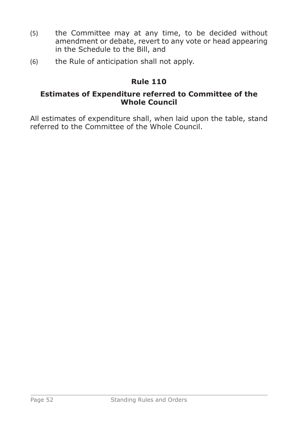- (5) the Committee may at any time, to be decided without amendment or debate, revert to any vote or head appearing in the Schedule to the Bill, and
- (6) the Rule of anticipation shall not apply.

### **Estimates of Expenditure referred to Committee of the Whole Council**

All estimates of expenditure shall, when laid upon the table, stand referred to the Committee of the Whole Council.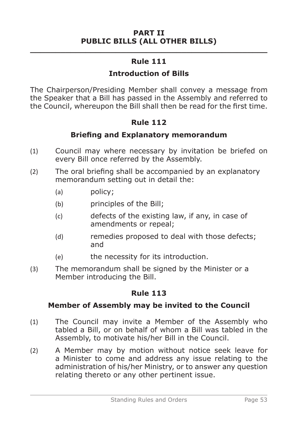### **PART II PUBLIC BILLS (ALL OTHER BILLS)**

# **\_\_\_\_\_\_\_\_\_\_\_\_\_\_\_\_\_\_\_\_\_\_\_\_\_\_\_\_\_\_\_\_\_\_\_\_\_\_\_\_\_\_\_\_\_\_\_ Rule 111**

# **Introduction of Bills**

The Chairperson/Presiding Member shall convey a message from the Speaker that a Bill has passed in the Assembly and referred to the Council, whereupon the Bill shall then be read for the first time.

### **Rule 112**

### **Briefing and Explanatory memorandum**

- (1) Council may where necessary by invitation be briefed on every Bill once referred by the Assembly.
- (2) The oral briefing shall be accompanied by an explanatory memorandum setting out in detail the:
	- (a) policy;
	- (b) principles of the Bill;
	- (c) defects of the existing law, if any, in case of amendments or repeal;
	- (d) remedies proposed to deal with those defects; and
	- (e) the necessity for its introduction.
- (3) The memorandum shall be signed by the Minister or a Member introducing the Bill.

# **Rule 113**

# **Member of Assembly may be invited to the Council**

- (1) The Council may invite a Member of the Assembly who tabled a Bill, or on behalf of whom a Bill was tabled in the Assembly, to motivate his/her Bill in the Council.
- (2) A Member may by motion without notice seek leave for a Minister to come and address any issue relating to the administration of his/her Ministry, or to answer any question relating thereto or any other pertinent issue.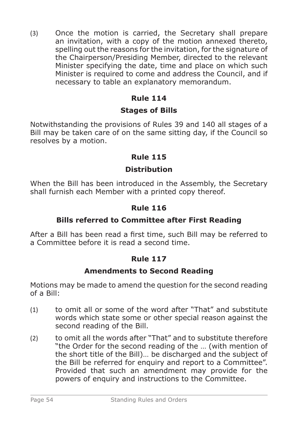(3) Once the motion is carried, the Secretary shall prepare an invitation, with a copy of the motion annexed thereto. spelling out the reasons for the invitation, for the signature of the Chairperson/Presiding Member, directed to the relevant Minister specifying the date, time and place on which such Minister is required to come and address the Council, and if necessary to table an explanatory memorandum.

# **Rule 114**

# **Stages of Bills**

Notwithstanding the provisions of Rules 39 and 140 all stages of a Bill may be taken care of on the same sitting day, if the Council so resolves by a motion.

# **Rule 115**

# **Distribution**

When the Bill has been introduced in the Assembly, the Secretary shall furnish each Member with a printed copy thereof.

# **Rule 116**

# **Bills referred to Committee after First Reading**

After a Bill has been read a first time, such Bill may be referred to a Committee before it is read a second time.

# **Rule 117**

# **Amendments to Second Reading**

Motions may be made to amend the question for the second reading of a Bill:

- (1) to omit all or some of the word after "That" and substitute words which state some or other special reason against the second reading of the Bill.
- (2) to omit all the words after "That" and to substitute therefore "the Order for the second reading of the … (with mention of the short title of the Bill)… be discharged and the subject of the Bill be referred for enquiry and report to a Committee". Provided that such an amendment may provide for the powers of enquiry and instructions to the Committee.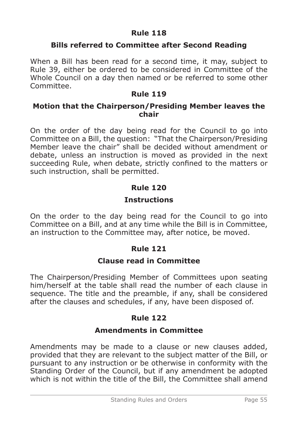### **Bills referred to Committee after Second Reading**

When a Bill has been read for a second time, it may, subject to Rule 39, either be ordered to be considered in Committee of the Whole Council on a day then named or be referred to some other Committee.

### **Rule 119**

### **Motion that the Chairperson/Presiding Member leaves the chair**

On the order of the day being read for the Council to go into Committee on a Bill, the question: "That the Chairperson/Presiding Member leave the chair" shall be decided without amendment or debate, unless an instruction is moved as provided in the next succeeding Rule, when debate, strictly confined to the matters or such instruction, shall be permitted.

# **Rule 120**

# **Instructions**

On the order to the day being read for the Council to go into Committee on a Bill, and at any time while the Bill is in Committee, an instruction to the Committee may, after notice, be moved.

# **Rule 121**

### **Clause read in Committee**

The Chairperson/Presiding Member of Committees upon seating him/herself at the table shall read the number of each clause in sequence. The title and the preamble, if any, shall be considered after the clauses and schedules, if any, have been disposed of.

### **Rule 122**

### **Amendments in Committee**

Amendments may be made to a clause or new clauses added, provided that they are relevant to the subject matter of the Bill, or pursuant to any instruction or be otherwise in conformity with the Standing Order of the Council, but if any amendment be adopted which is not within the title of the Bill, the Committee shall amend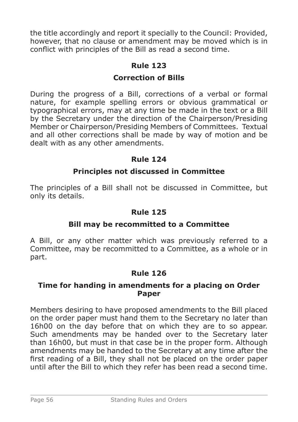the title accordingly and report it specially to the Council: Provided, however, that no clause or amendment may be moved which is in conflict with principles of the Bill as read a second time.

# **Rule 123**

### **Correction of Bills**

During the progress of a Bill, corrections of a verbal or formal nature, for example spelling errors or obvious grammatical or typographical errors, may at any time be made in the text or a Bill by the Secretary under the direction of the Chairperson/Presiding Member or Chairperson/Presiding Members of Committees. Textual and all other corrections shall be made by way of motion and be dealt with as any other amendments.

### **Rule 124**

### **Principles not discussed in Committee**

The principles of a Bill shall not be discussed in Committee, but only its details.

### **Rule 125**

### **Bill may be recommitted to a Committee**

A Bill, or any other matter which was previously referred to a Committee, may be recommitted to a Committee, as a whole or in part.

### **Rule 126**

#### **Time for handing in amendments for a placing on Order Paper**

Members desiring to have proposed amendments to the Bill placed on the order paper must hand them to the Secretary no later than 16h00 on the day before that on which they are to so appear. Such amendments may be handed over to the Secretary later than 16h00, but must in that case be in the proper form. Although amendments may be handed to the Secretary at any time after the first reading of a Bill, they shall not be placed on the order paper until after the Bill to which they refer has been read a second time.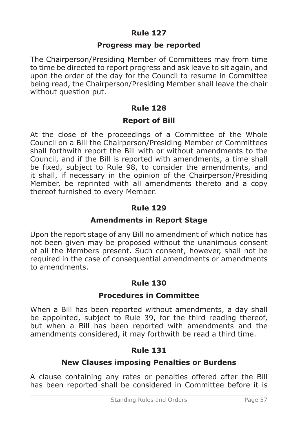### **Progress may be reported**

The Chairperson/Presiding Member of Committees may from time to time be directed to report progress and ask leave to sit again, and upon the order of the day for the Council to resume in Committee being read, the Chairperson/Presiding Member shall leave the chair without question put.

# **Rule 128**

### **Report of Bill**

At the close of the proceedings of a Committee of the Whole Council on a Bill the Chairperson/Presiding Member of Committees shall forthwith report the Bill with or without amendments to the Council, and if the Bill is reported with amendments, a time shall be fixed, subject to Rule 98, to consider the amendments, and it shall, if necessary in the opinion of the Chairperson/Presiding Member, be reprinted with all amendments thereto and a copy thereof furnished to every Member.

# **Rule 129**

# **Amendments in Report Stage**

Upon the report stage of any Bill no amendment of which notice has not been given may be proposed without the unanimous consent of all the Members present. Such consent, however, shall not be required in the case of consequential amendments or amendments to amendments.

# **Rule 130**

### **Procedures in Committee**

When a Bill has been reported without amendments, a day shall be appointed, subject to Rule 39, for the third reading thereof, but when a Bill has been reported with amendments and the amendments considered, it may forthwith be read a third time.

# **Rule 131**

# **New Clauses imposing Penalties or Burdens**

A clause containing any rates or penalties offered after the Bill has been reported shall be considered in Committee before it is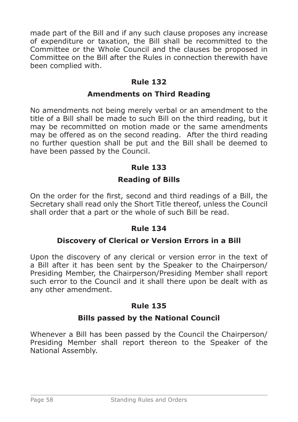made part of the Bill and if any such clause proposes any increase of expenditure or taxation, the Bill shall be recommitted to the Committee or the Whole Council and the clauses be proposed in Committee on the Bill after the Rules in connection therewith have been complied with.

# **Rule 132**

### **Amendments on Third Reading**

No amendments not being merely verbal or an amendment to the title of a Bill shall be made to such Bill on the third reading, but it may be recommitted on motion made or the same amendments may be offered as on the second reading. After the third reading no further question shall be put and the Bill shall be deemed to have been passed by the Council.

# **Rule 133**

# **Reading of Bills**

On the order for the first, second and third readings of a Bill, the Secretary shall read only the Short Title thereof, unless the Council shall order that a part or the whole of such Bill be read.

### **Rule 134**

# **Discovery of Clerical or Version Errors in a Bill**

Upon the discovery of any clerical or version error in the text of a Bill after it has been sent by the Speaker to the Chairperson/ Presiding Member, the Chairperson/Presiding Member shall report such error to the Council and it shall there upon be dealt with as any other amendment.

# **Rule 135**

# **Bills passed by the National Council**

Whenever a Bill has been passed by the Council the Chairperson/ Presiding Member shall report thereon to the Speaker of the National Assembly.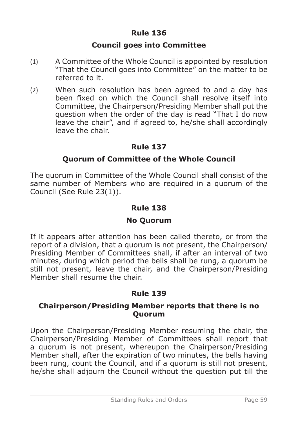### **Council goes into Committee**

- (1) A Committee of the Whole Council is appointed by resolution "That the Council goes into Committee" on the matter to be referred to it.
- (2) When such resolution has been agreed to and a day has been fixed on which the Council shall resolve itself into Committee, the Chairperson/Presiding Member shall put the question when the order of the day is read "That I do now leave the chair", and if agreed to, he/she shall accordingly leave the chair.

### **Rule 137**

### **Quorum of Committee of the Whole Council**

The quorum in Committee of the Whole Council shall consist of the same number of Members who are required in a quorum of the Council (See Rule 23(1)).

### **Rule 138**

### **No Quorum**

If it appears after attention has been called thereto, or from the report of a division, that a quorum is not present, the Chairperson/ Presiding Member of Committees shall, if after an interval of two minutes, during which period the bells shall be rung, a quorum be still not present, leave the chair, and the Chairperson/Presiding Member shall resume the chair.

# **Rule 139**

### **Chairperson/Presiding Member reports that there is no Quorum**

Upon the Chairperson/Presiding Member resuming the chair, the Chairperson/Presiding Member of Committees shall report that a quorum is not present, whereupon the Chairperson/Presiding Member shall, after the expiration of two minutes, the bells having been rung, count the Council, and if a quorum is still not present, he/she shall adjourn the Council without the question put till the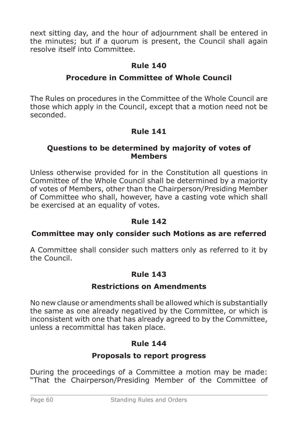next sitting day, and the hour of adjournment shall be entered in the minutes; but if a quorum is present, the Council shall again resolve itself into Committee.

# **Rule 140**

# **Procedure in Committee of Whole Council**

The Rules on procedures in the Committee of the Whole Council are those which apply in the Council, except that a motion need not be seconded.

# **Rule 141**

### **Questions to be determined by majority of votes of Members**

Unless otherwise provided for in the Constitution all questions in Committee of the Whole Council shall be determined by a majority of votes of Members, other than the Chairperson/Presiding Member of Committee who shall, however, have a casting vote which shall be exercised at an equality of votes.

### **Rule 142**

### **Committee may only consider such Motions as are referred**

A Committee shall consider such matters only as referred to it by the Council.

# **Rule 143**

#### **Restrictions on Amendments**

No new clause or amendments shall be allowed which is substantially the same as one already negatived by the Committee, or which is inconsistent with one that has already agreed to by the Committee, unless a recommittal has taken place.

### **Rule 144**

### **Proposals to report progress**

During the proceedings of a Committee a motion may be made: "That the Chairperson/Presiding Member of the Committee of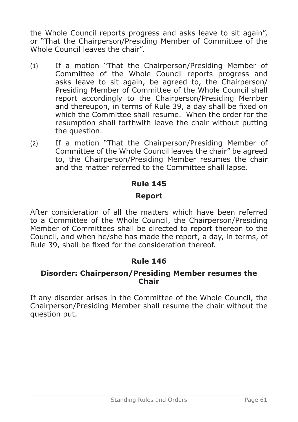the Whole Council reports progress and asks leave to sit again", or "That the Chairperson/Presiding Member of Committee of the Whole Council leaves the chair".

- (1) If a motion "That the Chairperson/Presiding Member of Committee of the Whole Council reports progress and asks leave to sit again, be agreed to, the Chairperson/ Presiding Member of Committee of the Whole Council shall report accordingly to the Chairperson/Presiding Member and thereupon, in terms of Rule 39, a day shall be fixed on which the Committee shall resume. When the order for the resumption shall forthwith leave the chair without putting the question.
- (2) If a motion "That the Chairperson/Presiding Member of Committee of the Whole Council leaves the chair" be agreed to, the Chairperson/Presiding Member resumes the chair and the matter referred to the Committee shall lapse.

# **Rule 145 Report**

After consideration of all the matters which have been referred to a Committee of the Whole Council, the Chairperson/Presiding Member of Committees shall be directed to report thereon to the Council, and when he/she has made the report, a day, in terms, of Rule 39, shall be fixed for the consideration thereof.

# **Rule 146**

### **Disorder: Chairperson/Presiding Member resumes the Chair**

If any disorder arises in the Committee of the Whole Council, the Chairperson/Presiding Member shall resume the chair without the question put.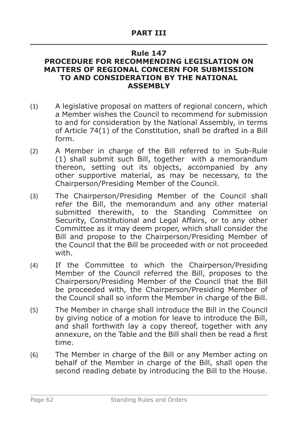#### **Rule 147 PROCEDURE FOR RECOMMENDING LEGISLATION ON MATTERS OF REGIONAL CONCERN FOR SUBMISSION TO AND CONSIDERATION BY THE NATIONAL ASSEMBLY**

- (1) A legislative proposal on matters of regional concern, which a Member wishes the Council to recommend for submission to and for consideration by the National Assembly, in terms of Article 74(1) of the Constitution, shall be drafted in a Bill form.
- (2) A Member in charge of the Bill referred to in Sub-Rule (1) shall submit such Bill, together with a memorandum thereon, setting out its objects, accompanied by any other supportive material, as may be necessary, to the Chairperson/Presiding Member of the Council.
- (3) The Chairperson/Presiding Member of the Council shall refer the Bill, the memorandum and any other material submitted therewith, to the Standing Committee on Security, Constitutional and Legal Affairs, or to any other Committee as it may deem proper, which shall consider the Bill and propose to the Chairperson/Presiding Member of the Council that the Bill be proceeded with or not proceeded with.
- (4) If the Committee to which the Chairperson/Presiding Member of the Council referred the Bill, proposes to the Chairperson/Presiding Member of the Council that the Bill be proceeded with, the Chairperson/Presiding Member of the Council shall so inform the Member in charge of the Bill.
- (5) The Member in charge shall introduce the Bill in the Council by giving notice of a motion for leave to introduce the Bill, and shall forthwith lay a copy thereof, together with any annexure, on the Table and the Bill shall then be read a first time.
- (6) The Member in charge of the Bill or any Member acting on behalf of the Member in charge of the Bill, shall open the second reading debate by introducing the Bill to the House.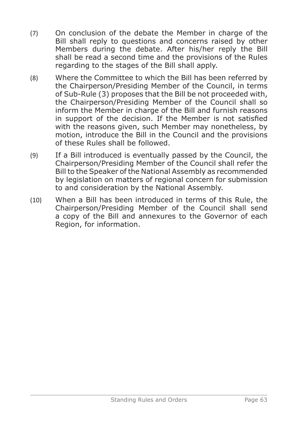- (7) On conclusion of the debate the Member in charge of the Bill shall reply to questions and concerns raised by other Members during the debate. After his/her reply the Bill shall be read a second time and the provisions of the Rules regarding to the stages of the Bill shall apply.
- (8) Where the Committee to which the Bill has been referred by the Chairperson/Presiding Member of the Council, in terms of Sub-Rule (3) proposes that the Bill be not proceeded with, the Chairperson/Presiding Member of the Council shall so inform the Member in charge of the Bill and furnish reasons in support of the decision. If the Member is not satisfied with the reasons given, such Member may nonetheless, by motion, introduce the Bill in the Council and the provisions of these Rules shall be followed.
- (9) If a Bill introduced is eventually passed by the Council, the Chairperson/Presiding Member of the Council shall refer the Bill to the Speaker of the National Assembly as recommended by legislation on matters of regional concern for submission to and consideration by the National Assembly.
- (10) When a Bill has been introduced in terms of this Rule, the Chairperson/Presiding Member of the Council shall send a copy of the Bill and annexures to the Governor of each Region, for information.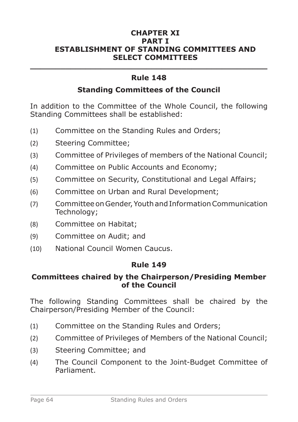#### **CHAPTER XI PART I ESTABLISHMENT OF STANDING COMMITTEES AND SELECT COMMITTEES**

# **\_\_\_\_\_\_\_\_\_\_\_\_\_\_\_\_\_\_\_\_\_\_\_\_\_\_\_\_\_\_\_\_\_\_\_\_\_\_\_\_\_\_\_\_\_\_\_ Rule 148**

### **Standing Committees of the Council**

In addition to the Committee of the Whole Council, the following Standing Committees shall be established:

- (1) Committee on the Standing Rules and Orders;
- (2) Steering Committee;
- (3) Committee of Privileges of members of the National Council;
- (4) Committee on Public Accounts and Economy;
- (5) Committee on Security, Constitutional and Legal Affairs;
- (6) Committee on Urban and Rural Development;
- (7) Committee on Gender, Youth and Information Communication Technology;
- (8) Committee on Habitat;
- (9) Committee on Audit; and
- (10) National Council Women Caucus.

#### **Rule 149**

#### **Committees chaired by the Chairperson/Presiding Member of the Council**

The following Standing Committees shall be chaired by the Chairperson/Presiding Member of the Council:

- (1) Committee on the Standing Rules and Orders;
- (2) Committee of Privileges of Members of the National Council;
- (3) Steering Committee; and
- (4) The Council Component to the Joint-Budget Committee of Parliament.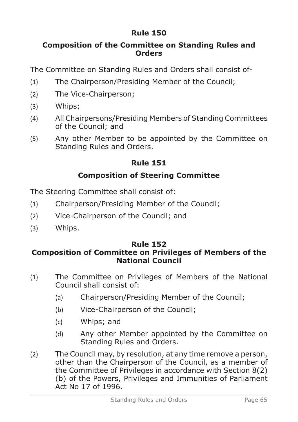## **Composition of the Committee on Standing Rules and Orders**

The Committee on Standing Rules and Orders shall consist of-

- (1) The Chairperson/Presiding Member of the Council;
- (2) The Vice-Chairperson;
- (3) Whips;
- (4) All Chairpersons/Presiding Members of Standing Committees of the Council; and
- (5) Any other Member to be appointed by the Committee on Standing Rules and Orders.

# **Rule 151**

# **Composition of Steering Committee**

The Steering Committee shall consist of:

- (1) Chairperson/Presiding Member of the Council;
- (2) Vice-Chairperson of the Council; and
- (3) Whips.

### **Rule 152 Composition of Committee on Privileges of Members of the National Council**

- (1) The Committee on Privileges of Members of the National Council shall consist of:
	- (a) Chairperson/Presiding Member of the Council;
	- (b) Vice-Chairperson of the Council;
	- (c) Whips; and
	- (d) Any other Member appointed by the Committee on Standing Rules and Orders.
- (2) The Council may, by resolution, at any time remove a person, other than the Chairperson of the Council, as a member of the Committee of Privileges in accordance with Section 8(2) (b) of the Powers, Privileges and Immunities of Parliament Act No 17 of 1996.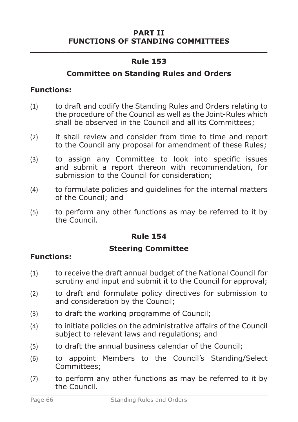#### **PART II FUNCTIONS OF STANDING COMMITTEES**

# **\_\_\_\_\_\_\_\_\_\_\_\_\_\_\_\_\_\_\_\_\_\_\_\_\_\_\_\_\_\_\_\_\_\_\_\_\_\_\_\_\_\_\_\_\_\_\_ Rule 153**

### **Committee on Standing Rules and Orders**

### **Functions:**

- (1) to draft and codify the Standing Rules and Orders relating to the procedure of the Council as well as the Joint-Rules which shall be observed in the Council and all its Committees;
- (2) it shall review and consider from time to time and report to the Council any proposal for amendment of these Rules;
- (3) to assign any Committee to look into specific issues and submit a report thereon with recommendation, for submission to the Council for consideration;
- (4) to formulate policies and guidelines for the internal matters of the Council; and
- (5) to perform any other functions as may be referred to it by the Council.

# **Rule 154**

# **Steering Committee**

- (1) to receive the draft annual budget of the National Council for scrutiny and input and submit it to the Council for approval;
- (2) to draft and formulate policy directives for submission to and consideration by the Council;
- (3) to draft the working programme of Council;
- (4) to initiate policies on the administrative affairs of the Council subject to relevant laws and regulations; and
- (5) to draft the annual business calendar of the Council;
- (6) to appoint Members to the Council's Standing/Select Committees;
- (7) to perform any other functions as may be referred to it by the Council.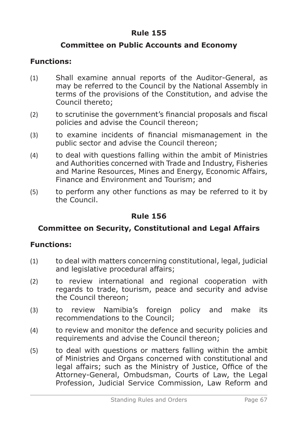## **Committee on Public Accounts and Economy**

# **Functions:**

- (1) Shall examine annual reports of the Auditor-General, as may be referred to the Council by the National Assembly in terms of the provisions of the Constitution, and advise the Council thereto;
- (2) to scrutinise the government's financial proposals and fiscal policies and advise the Council thereon;
- (3) to examine incidents of financial mismanagement in the public sector and advise the Council thereon;
- (4) to deal with questions falling within the ambit of Ministries and Authorities concerned with Trade and Industry, Fisheries and Marine Resources, Mines and Energy, Economic Affairs, Finance and Environment and Tourism; and
- (5) to perform any other functions as may be referred to it by the Council.

# **Rule 156**

### **Committee on Security, Constitutional and Legal Affairs**

- (1) to deal with matters concerning constitutional, legal, judicial and legislative procedural affairs;
- (2) to review international and regional cooperation with regards to trade, tourism, peace and security and advise the Council thereon;
- (3) to review Namibia's foreign policy and make its recommendations to the Council;
- (4) to review and monitor the defence and security policies and requirements and advise the Council thereon;
- (5) to deal with questions or matters falling within the ambit of Ministries and Organs concerned with constitutional and legal affairs; such as the Ministry of Justice, Office of the Attorney-General, Ombudsman, Courts of Law, the Legal Profession, Judicial Service Commission, Law Reform and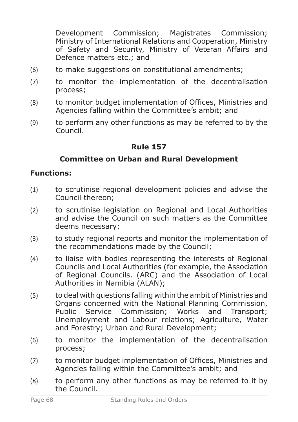Development Commission; Magistrates Commission; Ministry of International Relations and Cooperation, Ministry of Safety and Security, Ministry of Veteran Affairs and Defence matters etc.; and

- (6) to make suggestions on constitutional amendments;
- (7) to monitor the implementation of the decentralisation process;
- (8) to monitor budget implementation of Offices, Ministries and Agencies falling within the Committee's ambit; and
- (9) to perform any other functions as may be referred to by the Council.

### **Rule 157**

### **Committee on Urban and Rural Development**

- (1) to scrutinise regional development policies and advise the Council thereon;
- (2) to scrutinise legislation on Regional and Local Authorities and advise the Council on such matters as the Committee deems necessary;
- (3) to study regional reports and monitor the implementation of the recommendations made by the Council;
- (4) to liaise with bodies representing the interests of Regional Councils and Local Authorities (for example, the Association of Regional Councils. (ARC) and the Association of Local Authorities in Namibia (ALAN);
- (5) to deal with questions falling within the ambit of Ministries and Organs concerned with the National Planning Commission,<br>Public Service Commission; Works and Transport; Service Commission; Works and Transport; Unemployment and Labour relations; Agriculture, Water and Forestry; Urban and Rural Development;
- (6) to monitor the implementation of the decentralisation process;
- (7) to monitor budget implementation of Offices, Ministries and Agencies falling within the Committee's ambit; and
- (8) to perform any other functions as may be referred to it by the Council.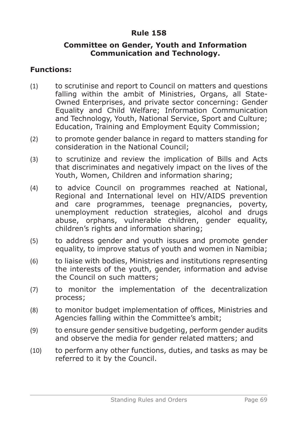#### **Committee on Gender, Youth and Information Communication and Technology.**

- (1) to scrutinise and report to Council on matters and questions falling within the ambit of Ministries, Organs, all State-Owned Enterprises, and private sector concerning: Gender Equality and Child Welfare; Information Communication and Technology, Youth, National Service, Sport and Culture; Education, Training and Employment Equity Commission;
- (2) to promote gender balance in regard to matters standing for consideration in the National Council;
- (3) to scrutinize and review the implication of Bills and Acts that discriminates and negatively impact on the lives of the Youth, Women, Children and information sharing;
- (4) to advice Council on programmes reached at National, Regional and International level on HIV/AIDS prevention and care programmes, teenage pregnancies, poverty, unemployment reduction strategies, alcohol and drugs abuse, orphans, vulnerable children, gender equality, children's rights and information sharing;
- (5) to address gender and youth issues and promote gender equality, to improve status of youth and women in Namibia;
- (6) to liaise with bodies, Ministries and institutions representing the interests of the youth, gender, information and advise the Council on such matters;
- (7) to monitor the implementation of the decentralization process;
- (8) to monitor budget implementation of offices, Ministries and Agencies falling within the Committee's ambit;
- (9) to ensure gender sensitive budgeting, perform gender audits and observe the media for gender related matters; and
- (10) to perform any other functions, duties, and tasks as may be referred to it by the Council.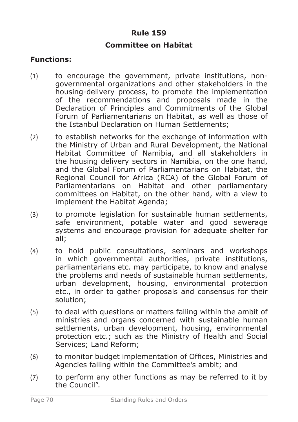#### **Committee on Habitat**

- (1) to encourage the government, private institutions, nongovernmental organizations and other stakeholders in the housing-delivery process, to promote the implementation of the recommendations and proposals made in the Declaration of Principles and Commitments of the Global Forum of Parliamentarians on Habitat, as well as those of the Istanbul Declaration on Human Settlements;
- (2) to establish networks for the exchange of information with the Ministry of Urban and Rural Development, the National Habitat Committee of Namibia, and all stakeholders in the housing delivery sectors in Namibia, on the one hand, and the Global Forum of Parliamentarians on Habitat, the Regional Council for Africa (RCA) of the Global Forum of Parliamentarians on Habitat and other parliamentary committees on Habitat, on the other hand, with a view to implement the Habitat Agenda;
- (3) to promote legislation for sustainable human settlements, safe environment, potable water and good sewerage systems and encourage provision for adequate shelter for all;
- (4) to hold public consultations, seminars and workshops in which governmental authorities, private institutions, parliamentarians etc. may participate, to know and analyse the problems and needs of sustainable human settlements, urban development, housing, environmental protection etc., in order to gather proposals and consensus for their solution;
- (5) to deal with questions or matters falling within the ambit of ministries and organs concerned with sustainable human settlements, urban development, housing, environmental protection etc.; such as the Ministry of Health and Social Services; Land Reform;
- (6) to monitor budget implementation of Offices, Ministries and Agencies falling within the Committee's ambit; and
- (7) to perform any other functions as may be referred to it by the Council".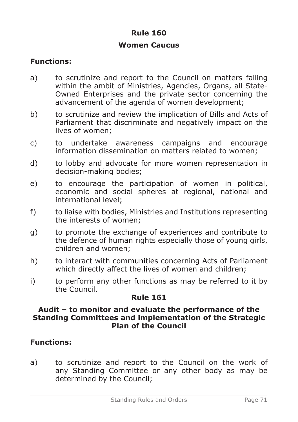### **Women Caucus**

# **Functions:**

- a) to scrutinize and report to the Council on matters falling within the ambit of Ministries, Agencies, Organs, all State-Owned Enterprises and the private sector concerning the advancement of the agenda of women development;
- b) to scrutinize and review the implication of Bills and Acts of Parliament that discriminate and negatively impact on the lives of women;
- c) to undertake awareness campaigns and encourage information dissemination on matters related to women;
- d) to lobby and advocate for more women representation in decision-making bodies;
- e) to encourage the participation of women in political, economic and social spheres at regional, national and international level;
- f) to liaise with bodies, Ministries and Institutions representing the interests of women;
- g) to promote the exchange of experiences and contribute to the defence of human rights especially those of young girls, children and women;
- h) to interact with communities concerning Acts of Parliament which directly affect the lives of women and children;
- i) to perform any other functions as may be referred to it by the Council.

### **Rule 161**

### **Audit – to monitor and evaluate the performance of the Standing Committees and implementation of the Strategic Plan of the Council**

# **Functions:**

a) to scrutinize and report to the Council on the work of any Standing Committee or any other body as may be determined by the Council;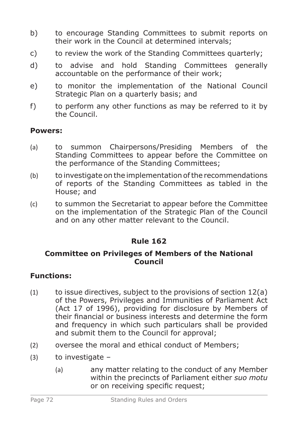- b) to encourage Standing Committees to submit reports on their work in the Council at determined intervals;
- c) to review the work of the Standing Committees quarterly;
- d) to advise and hold Standing Committees generally accountable on the performance of their work;
- e) to monitor the implementation of the National Council Strategic Plan on a quarterly basis; and
- f) to perform any other functions as may be referred to it by the Council.

## **Powers:**

- (a) to summon Chairpersons/Presiding Members of the Standing Committees to appear before the Committee on the performance of the Standing Committees;
- (b) to investigate on the implementation of the recommendations of reports of the Standing Committees as tabled in the House; and
- (c) to summon the Secretariat to appear before the Committee on the implementation of the Strategic Plan of the Council and on any other matter relevant to the Council.

## **Rule 162**

### **Committee on Privileges of Members of the National Council**

## **Functions:**

- $(1)$  to issue directives, subject to the provisions of section  $12(a)$ of the Powers, Privileges and Immunities of Parliament Act (Act 17 of 1996), providing for disclosure by Members of their financial or business interests and determine the form and frequency in which such particulars shall be provided and submit them to the Council for approval;
- (2) oversee the moral and ethical conduct of Members;
- $(3)$  to investigate
	- (a) any matter relating to the conduct of any Member within the precincts of Parliament either *suo motu* or on receiving specific request;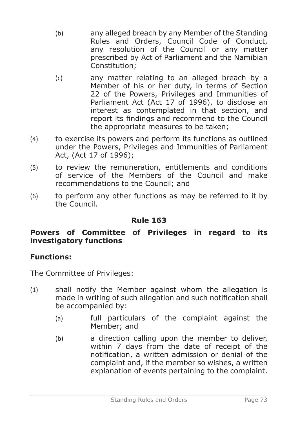- (b) any alleged breach by any Member of the Standing Rules and Orders, Council Code of Conduct, any resolution of the Council or any matter prescribed by Act of Parliament and the Namibian Constitution;
- (c) any matter relating to an alleged breach by a Member of his or her duty, in terms of Section 22 of the Powers, Privileges and Immunities of Parliament Act (Act 17 of 1996), to disclose an interest as contemplated in that section, and report its findings and recommend to the Council the appropriate measures to be taken;
- (4) to exercise its powers and perform its functions as outlined under the Powers, Privileges and Immunities of Parliament Act, (Act 17 of 1996);
- (5) to review the remuneration, entitlements and conditions of service of the Members of the Council and make recommendations to the Council; and
- (6) to perform any other functions as may be referred to it by the Council.

### **Powers of Committee of Privileges in regard to its investigatory functions**

### **Functions:**

The Committee of Privileges:

- (1) shall notify the Member against whom the allegation is made in writing of such allegation and such notification shall be accompanied by:
	- (a) full particulars of the complaint against the Member; and
	- (b) a direction calling upon the member to deliver, within 7 days from the date of receipt of the notification, a written admission or denial of the complaint and, if the member so wishes, a written explanation of events pertaining to the complaint.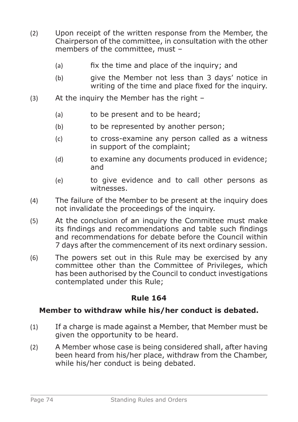- (2) Upon receipt of the written response from the Member, the Chairperson of the committee, in consultation with the other members of the committee, must –
	- (a) fix the time and place of the inquiry; and
	- (b) give the Member not less than 3 days' notice in writing of the time and place fixed for the inquiry.
- (3) At the inquiry the Member has the right
	- (a) to be present and to be heard:
	- (b) to be represented by another person;
	- (c) to cross-examine any person called as a witness in support of the complaint;
	- (d) to examine any documents produced in evidence; and
	- (e) to give evidence and to call other persons as witnesses.
- (4) The failure of the Member to be present at the inquiry does not invalidate the proceedings of the inquiry.
- (5) At the conclusion of an inquiry the Committee must make its findings and recommendations and table such findings and recommendations for debate before the Council within 7 days after the commencement of its next ordinary session.
- (6) The powers set out in this Rule may be exercised by any committee other than the Committee of Privileges, which has been authorised by the Council to conduct investigations contemplated under this Rule;

### **Member to withdraw while his/her conduct is debated.**

- (1) If a charge is made against a Member, that Member must be given the opportunity to be heard.
- (2) A Member whose case is being considered shall, after having been heard from his/her place, withdraw from the Chamber, while his/her conduct is being debated.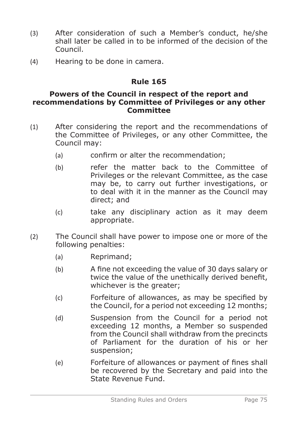- (3) After consideration of such a Member's conduct, he/she shall later be called in to be informed of the decision of the Council.
- (4) Hearing to be done in camera.

#### **Powers of the Council in respect of the report and recommendations by Committee of Privileges or any other Committee**

- (1) After considering the report and the recommendations of the Committee of Privileges, or any other Committee, the Council may:
	- (a) confirm or alter the recommendation;
	- (b) refer the matter back to the Committee of Privileges or the relevant Committee, as the case may be, to carry out further investigations, or to deal with it in the manner as the Council may direct; and
	- (c) take any disciplinary action as it may deem appropriate.
- (2) The Council shall have power to impose one or more of the following penalties:
	- (a) Reprimand;
	- (b) A fine not exceeding the value of 30 days salary or twice the value of the unethically derived benefit, whichever is the greater;
	- (c) Forfeiture of allowances, as may be specified by the Council, for a period not exceeding 12 months;
	- (d) Suspension from the Council for a period not exceeding 12 months, a Member so suspended from the Council shall withdraw from the precincts of Parliament for the duration of his or her suspension;
	- (e) Forfeiture of allowances or payment of fines shall be recovered by the Secretary and paid into the State Revenue Fund.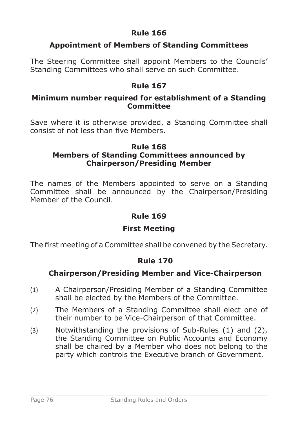# **Appointment of Members of Standing Committees**

The Steering Committee shall appoint Members to the Councils' Standing Committees who shall serve on such Committee.

### **Rule 167**

### **Minimum number required for establishment of a Standing Committee**

Save where it is otherwise provided, a Standing Committee shall consist of not less than five Members.

# **Rule 168**

### **Members of Standing Committees announced by Chairperson/Presiding Member**

The names of the Members appointed to serve on a Standing Committee shall be announced by the Chairperson/Presiding Member of the Council.

## **Rule 169**

## **First Meeting**

The first meeting of a Committee shall be convened by the Secretary.

## **Rule 170**

## **Chairperson/Presiding Member and Vice-Chairperson**

- (1) A Chairperson/Presiding Member of a Standing Committee shall be elected by the Members of the Committee.
- (2) The Members of a Standing Committee shall elect one of their number to be Vice-Chairperson of that Committee.
- (3) Notwithstanding the provisions of Sub-Rules (1) and (2), the Standing Committee on Public Accounts and Economy shall be chaired by a Member who does not belong to the party which controls the Executive branch of Government.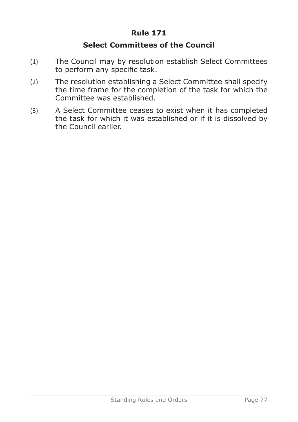## **Select Committees of the Council**

- (1) The Council may by resolution establish Select Committees to perform any specific task.
- (2) The resolution establishing a Select Committee shall specify the time frame for the completion of the task for which the Committee was established.
- (3) A Select Committee ceases to exist when it has completed the task for which it was established or if it is dissolved by the Council earlier.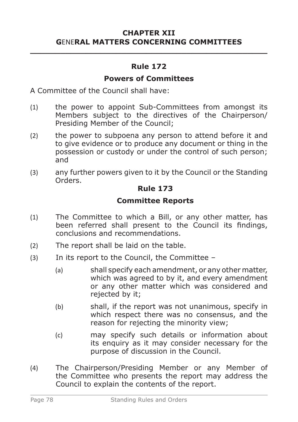### **CHAPTER XII G**ENE**RAL MATTERS CONCERNING COMMITTEES \_\_\_\_\_\_\_\_\_\_\_\_\_\_\_\_\_\_\_\_\_\_\_\_\_\_\_\_\_\_\_\_\_\_\_\_\_\_\_\_\_\_\_\_\_\_\_**

### **Rule 172**

#### **Powers of Committees**

A Committee of the Council shall have:

- (1) the power to appoint Sub-Committees from amongst its Members subject to the directives of the Chairperson/ Presiding Member of the Council;
- (2) the power to subpoena any person to attend before it and to give evidence or to produce any document or thing in the possession or custody or under the control of such person; and
- (3) any further powers given to it by the Council or the Standing Orders.

#### **Rule 173**

### **Committee Reports**

- (1) The Committee to which a Bill, or any other matter, has been referred shall present to the Council its findings, conclusions and recommendations.
- (2) The report shall be laid on the table.
- (3) In its report to the Council, the Committee
	- (a) shall specify each amendment, or any other matter, which was agreed to by it, and every amendment or any other matter which was considered and rejected by it;
	- (b) shall, if the report was not unanimous, specify in which respect there was no consensus, and the reason for rejecting the minority view;
	- (c) may specify such details or information about its enquiry as it may consider necessary for the purpose of discussion in the Council.
- (4) The Chairperson/Presiding Member or any Member of the Committee who presents the report may address the Council to explain the contents of the report.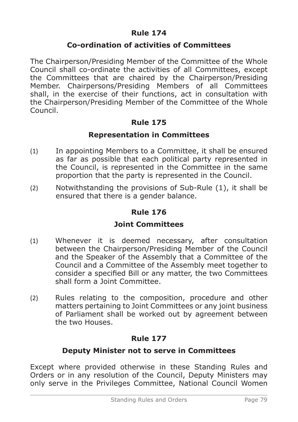#### **Co-ordination of activities of Committees**

The Chairperson/Presiding Member of the Committee of the Whole Council shall co-ordinate the activities of all Committees, except the Committees that are chaired by the Chairperson/Presiding Member. Chairpersons/Presiding Members of all Committees shall, in the exercise of their functions, act in consultation with the Chairperson/Presiding Member of the Committee of the Whole Council.

### **Rule 175**

#### **Representation in Committees**

- (1) In appointing Members to a Committee, it shall be ensured as far as possible that each political party represented in the Council, is represented in the Committee in the same proportion that the party is represented in the Council.
- (2) Notwithstanding the provisions of Sub-Rule (1), it shall be ensured that there is a gender balance.

#### **Rule 176**

#### **Joint Committees**

- (1) Whenever it is deemed necessary, after consultation between the Chairperson/Presiding Member of the Council and the Speaker of the Assembly that a Committee of the Council and a Committee of the Assembly meet together to consider a specified Bill or any matter, the two Committees shall form a Joint Committee.
- (2) Rules relating to the composition, procedure and other matters pertaining to Joint Committees or any joint business of Parliament shall be worked out by agreement between the two Houses.

### **Rule 177**

#### **Deputy Minister not to serve in Committees**

Except where provided otherwise in these Standing Rules and Orders or in any resolution of the Council, Deputy Ministers may only serve in the Privileges Committee, National Council Women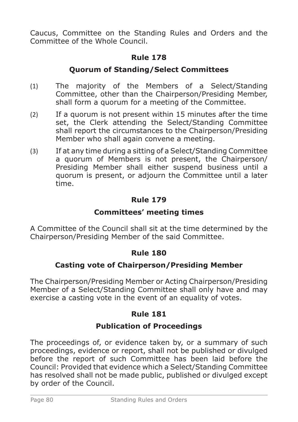Caucus, Committee on the Standing Rules and Orders and the Committee of the Whole Council.

# **Rule 178**

# **Quorum of Standing/Select Committees**

- (1) The majority of the Members of a Select/Standing Committee, other than the Chairperson/Presiding Member, shall form a quorum for a meeting of the Committee.
- (2) If a quorum is not present within 15 minutes after the time set, the Clerk attending the Select/Standing Committee shall report the circumstances to the Chairperson/Presiding Member who shall again convene a meeting.
- (3) If at any time during a sitting of a Select/Standing Committee a quorum of Members is not present, the Chairperson/ Presiding Member shall either suspend business until a quorum is present, or adjourn the Committee until a later time.

# **Rule 179**

## **Committees' meeting times**

A Committee of the Council shall sit at the time determined by the Chairperson/Presiding Member of the said Committee.

### **Rule 180**

## **Casting vote of Chairperson/Presiding Member**

The Chairperson/Presiding Member or Acting Chairperson/Presiding Member of a Select/Standing Committee shall only have and may exercise a casting vote in the event of an equality of votes.

## **Rule 181**

## **Publication of Proceedings**

The proceedings of, or evidence taken by, or a summary of such proceedings, evidence or report, shall not be published or divulged before the report of such Committee has been laid before the Council: Provided that evidence which a Select/Standing Committee has resolved shall not be made public, published or divulged except by order of the Council.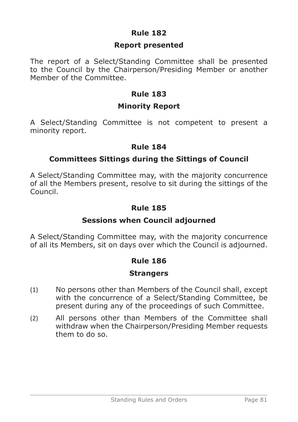### **Report presented**

The report of a Select/Standing Committee shall be presented to the Council by the Chairperson/Presiding Member or another Member of the Committee.

## **Rule 183**

### **Minority Report**

A Select/Standing Committee is not competent to present a minority report.

### **Rule 184**

### **Committees Sittings during the Sittings of Council**

A Select/Standing Committee may, with the majority concurrence of all the Members present, resolve to sit during the sittings of the Council.

### **Rule 185**

### **Sessions when Council adjourned**

A Select/Standing Committee may, with the majority concurrence of all its Members, sit on days over which the Council is adjourned.

### **Rule 186**

### **Strangers**

- (1) No persons other than Members of the Council shall, except with the concurrence of a Select/Standing Committee, be present during any of the proceedings of such Committee.
- (2) All persons other than Members of the Committee shall withdraw when the Chairperson/Presiding Member requests them to do so.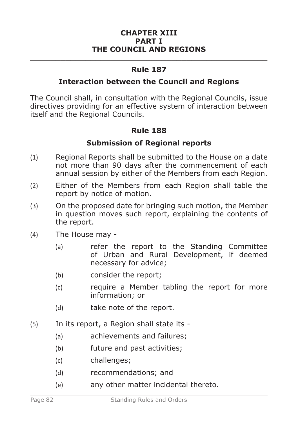#### **CHAPTER XIII PART I THE COUNCIL AND REGIONS**

# **\_\_\_\_\_\_\_\_\_\_\_\_\_\_\_\_\_\_\_\_\_\_\_\_\_\_\_\_\_\_\_\_\_\_\_\_\_\_\_\_\_\_\_\_\_\_\_ Rule 187**

#### **Interaction between the Council and Regions**

The Council shall, in consultation with the Regional Councils, issue directives providing for an effective system of interaction between itself and the Regional Councils.

### **Rule 188**

### **Submission of Regional reports**

- (1) Regional Reports shall be submitted to the House on a date not more than 90 days after the commencement of each annual session by either of the Members from each Region.
- (2) Either of the Members from each Region shall table the report by notice of motion.
- (3) On the proposed date for bringing such motion, the Member in question moves such report, explaining the contents of the report.
- (4) The House may
	- (a) refer the report to the Standing Committee of Urban and Rural Development, if deemed necessary for advice;
	- (b) consider the report;
	- (c) require a Member tabling the report for more information; or
	- (d) take note of the report.
- (5) In its report, a Region shall state its
	- (a) achievements and failures;
	- (b) future and past activities;
	- (c) challenges;
	- (d) recommendations; and
	- (e) any other matter incidental thereto.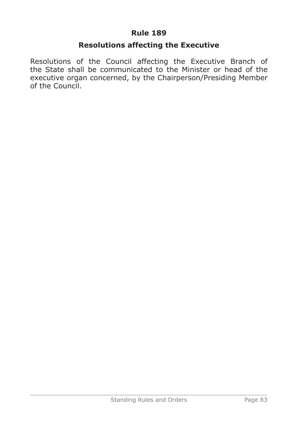### **Resolutions affecting the Executive**

Resolutions of the Council affecting the Executive Branch of the State shall be communicated to the Minister or head of the executive organ concerned, by the Chairperson/Presiding Member of the Council.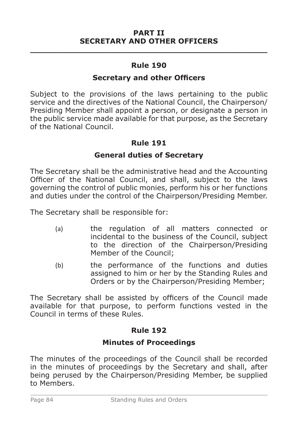#### **Secretary and other Officers**

Subject to the provisions of the laws pertaining to the public service and the directives of the National Council, the Chairperson/ Presiding Member shall appoint a person, or designate a person in the public service made available for that purpose, as the Secretary of the National Council.

### **Rule 191**

#### **General duties of Secretary**

The Secretary shall be the administrative head and the Accounting Officer of the National Council, and shall, subject to the laws governing the control of public monies, perform his or her functions and duties under the control of the Chairperson/Presiding Member.

The Secretary shall be responsible for:

- (a) the regulation of all matters connected or incidental to the business of the Council, subject to the direction of the Chairperson/Presiding Member of the Council;
- (b) the performance of the functions and duties assigned to him or her by the Standing Rules and Orders or by the Chairperson/Presiding Member;

The Secretary shall be assisted by officers of the Council made available for that purpose, to perform functions vested in the Council in terms of these Rules.

### **Rule 192**

### **Minutes of Proceedings**

The minutes of the proceedings of the Council shall be recorded in the minutes of proceedings by the Secretary and shall, after being perused by the Chairperson/Presiding Member, be supplied to Members.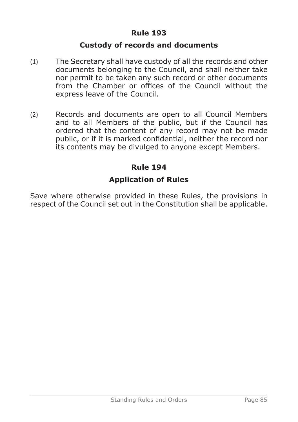### **Custody of records and documents**

- (1) The Secretary shall have custody of all the records and other documents belonging to the Council, and shall neither take nor permit to be taken any such record or other documents from the Chamber or offices of the Council without the express leave of the Council.
- (2) Records and documents are open to all Council Members and to all Members of the public, but if the Council has ordered that the content of any record may not be made public, or if it is marked confidential, neither the record nor its contents may be divulged to anyone except Members.

### **Rule 194**

### **Application of Rules**

Save where otherwise provided in these Rules, the provisions in respect of the Council set out in the Constitution shall be applicable.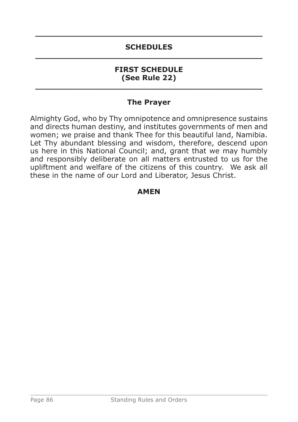# **\_\_\_\_\_\_\_\_\_\_\_\_\_\_\_\_\_\_\_\_\_\_\_\_\_\_\_\_\_\_\_\_\_\_\_\_\_\_\_\_\_\_\_\_\_ SCHEDULES \_\_\_\_\_\_\_\_\_\_\_\_\_\_\_\_\_\_\_\_\_\_\_\_\_\_\_\_\_\_\_\_\_\_\_\_\_\_\_\_\_\_\_\_\_**

#### **FIRST SCHEDULE (See Rule 22) \_\_\_\_\_\_\_\_\_\_\_\_\_\_\_\_\_\_\_\_\_\_\_\_\_\_\_\_\_\_\_\_\_\_\_\_\_\_\_\_\_\_\_\_\_**

# **The Prayer**

Almighty God, who by Thy omnipotence and omnipresence sustains and directs human destiny, and institutes governments of men and women; we praise and thank Thee for this beautiful land, Namibia. Let Thy abundant blessing and wisdom, therefore, descend upon us here in this National Council; and, grant that we may humbly and responsibly deliberate on all matters entrusted to us for the upliftment and welfare of the citizens of this country. We ask all these in the name of our Lord and Liberator, Jesus Christ.

### **AMEN**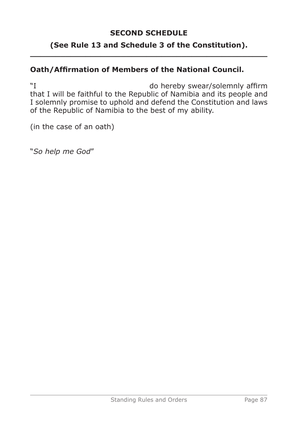### **SECOND SCHEDULE**

### **(See Rule 13 and Schedule 3 of the Constitution). \_\_\_\_\_\_\_\_\_\_\_\_\_\_\_\_\_\_\_\_\_\_\_\_\_\_\_\_\_\_\_\_\_\_\_\_\_\_\_\_\_\_\_\_\_\_\_**

# **Oath/Affirmation of Members of the National Council.**

"I do hereby swear/solemnly affirm that I will be faithful to the Republic of Namibia and its people and I solemnly promise to uphold and defend the Constitution and laws of the Republic of Namibia to the best of my ability.

(in the case of an oath)

"*So help me God*"